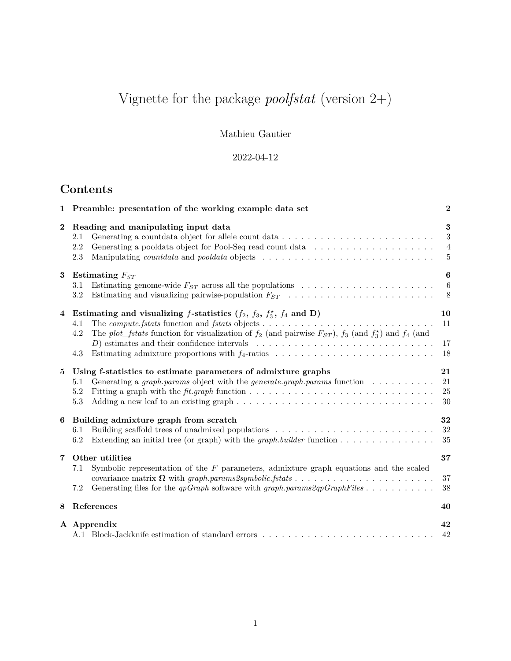# Vignette for the package *poolfstat* (version 2+)

Mathieu Gautier

## 2022-04-12

## **Contents**

| 1              | Preamble: presentation of the working example data set                                                                                                                                                                                                                                                                                        | $\boldsymbol{2}$                             |
|----------------|-----------------------------------------------------------------------------------------------------------------------------------------------------------------------------------------------------------------------------------------------------------------------------------------------------------------------------------------------|----------------------------------------------|
| $\mathbf{2}$   | Reading and manipulating input data<br>2.1<br>2.2<br>Generating a pooldata object for Pool-Seq read count data<br>2.3<br>Manipulating <i>countdata</i> and <i>pooldata</i> objects                                                                                                                                                            | 3<br>$\sqrt{3}$<br>$\overline{4}$<br>$\bf 5$ |
| 3              | Estimating $F_{ST}$<br>Estimating genome-wide $F_{ST}$ across all the populations $\ldots \ldots \ldots \ldots \ldots \ldots \ldots$<br>3.1<br>3.2                                                                                                                                                                                            | 6<br>6<br>8                                  |
| $\overline{4}$ | Estimating and visualizing f-statistics $(f_2, f_3, f_3^*, f_4$ and D)<br>4.1<br>The plot_fstats function for visualization of $f_2$ (and pairwise $F_{ST}$ ), $f_3$ (and $f_3^{\star}$ ) and $f_4$ (and<br>4.2<br>D) estimates and their confidence intervals $\ldots \ldots \ldots \ldots \ldots \ldots \ldots \ldots \ldots \ldots$<br>4.3 | 10<br>11<br>17<br>18                         |
| 5              | Using f-statistics to estimate parameters of admixture graphs<br>Generating a graph params object with the generate graph params function $\ldots \ldots \ldots$<br>5.1<br>5.2<br>$5.3\,$                                                                                                                                                     | 21<br>21<br>25<br>$30\,$                     |
| 6              | Building admixture graph from scratch<br>Building scaffold trees of unadmixed populations<br>6.1<br>Extending an initial tree (or graph) with the <i>graph</i> builder function $\dots \dots \dots \dots \dots$<br>6.2                                                                                                                        | 32<br>32<br>35                               |
| 7              | Other utilities<br>Symbolic representation of the $F$ parameters, admixture graph equations and the scaled<br>7.1<br>Generating files for the qpGraph software with graph.params2qpGraphFiles<br>7.2                                                                                                                                          | 37<br>37<br>38                               |
| 8              | References                                                                                                                                                                                                                                                                                                                                    | 40                                           |
|                | A Apprendix                                                                                                                                                                                                                                                                                                                                   | 42<br>42                                     |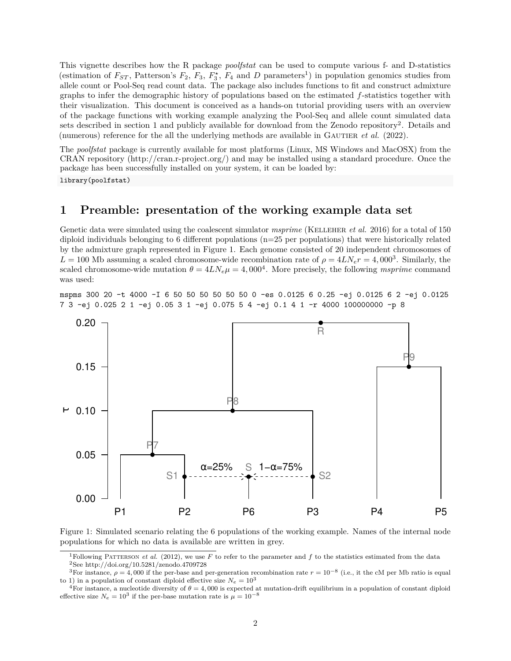This vignette describes how the R package *poolfstat* can be used to compute various f- and D-statistics (estimation of  $F_{ST}$ , Patterson's  $F_2$ ,  $F_3$ ,  $F_3^*$ ,  $F_4$  and *D* parameters<sup>1</sup>) in population genomics studies from allele count or Pool-Seq read count data. The package also includes functions to fit and construct admixture graphs to infer the demographic history of populations based on the estimated *f*-statistics together with their visualization. This document is conceived as a hands-on tutorial providing users with an overview of the package functions with working example analyzing the Pool-Seq and allele count simulated data sets described in section 1 and publicly available for download from the Zenodo repository<sup>2</sup>. Details and (numerous) reference for the all the underlying methods are available in GAUTIER *et al.* (2022).

The *poolfstat* package is currently available for most platforms (Linux, MS Windows and MacOSX) from the CRAN repository (http://cran.r-project.org/) and may be installed using a standard procedure. Once the package has been successfully installed on your system, it can be loaded by: library(poolfstat)

### **1 Preamble: presentation of the working example data set**

Genetic data were simulated using the coalescent simulator *msprime* (KELLEHER *et al.* 2016) for a total of 150 diploid individuals belonging to 6 different populations (n=25 per populations) that were historically related by the admixture graph represented in Figure 1. Each genome consisted of 20 independent chromosomes of  $L = 100$  Mb assuming a scaled chromosome-wide recombination rate of  $\rho = 4LN_e r = 4,000^3$ . Similarly, the scaled chromosome-wide mutation  $\theta = 4LN_e\mu = 4{,}000^4$ . More precisely, the following *msprime* command was used:

mspms 300 20 -t 4000 -I 6 50 50 50 50 50 50 0 -es 0.0125 6 0.25 -ej 0.0125 6 2 -ej 0.0125 7 3 -ej 0.025 2 1 -ej 0.05 3 1 -ej 0.075 5 4 -ej 0.1 4 1 -r 4000 100000000 -p 8



Figure 1: Simulated scenario relating the 6 populations of the working example. Names of the internal node populations for which no data is available are written in grey.

<sup>&</sup>lt;sup>1</sup>Following PATTERSON *et al.* (2012), we use  $F$  to refer to the parameter and  $f$  to the statistics estimated from the data <sup>2</sup>See http://doi.org/10.5281/zenodo.4709728

<sup>&</sup>lt;sup>3</sup>For instance,  $\rho = 4,000$  if the per-base and per-generation recombination rate  $r = 10^{-8}$  (i.e., it the cM per Mb ratio is equal to 1) in a population of constant diploid effective size  $N_e = 10^3$ 

<sup>&</sup>lt;sup>4</sup>For instance, a nucleotide diversity of  $\theta = 4,000$  is expected at mutation-drift equilibrium in a population of constant diploid effective size  $N_e = 10^3$  if the per-base mutation rate is  $\mu = 10^{-8}$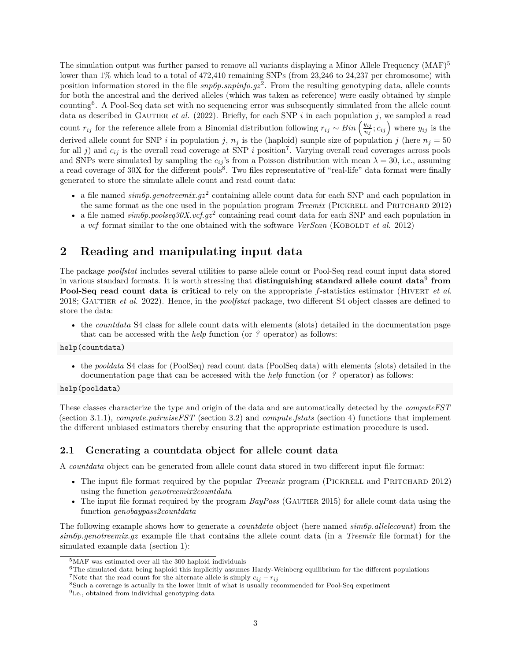The simulation output was further parsed to remove all variants displaying a Minor Allele Frequency  $(MAF)^5$ lower than 1% which lead to a total of 472,410 remaining SNPs (from 23,246 to 24,237 per chromosome) with position information stored in the file  $\text{supp} \in \text{supp} \cdot \text{supp} \cdot \text{supp} \cdot \text{supp} \cdot \text{supp} \cdot \text{supp} \cdot \text{supp} \cdot \text{supp} \cdot \text{supp} \cdot \text{supp} \cdot \text{supp} \cdot \text{supp} \cdot \text{supp} \cdot \text{supp} \cdot \text{supp} \cdot \text{supp} \cdot \text{supp} \cdot \text{supp} \cdot \text{supp} \cdot \text{supp} \cdot \text{supp} \cdot \text{supp$ for both the ancestral and the derived alleles (which was taken as reference) were easily obtained by simple counting<sup>6</sup> . A Pool-Seq data set with no sequencing error was subsequently simulated from the allele count data as described in GAUTIER *et al.* (2022). Briefly, for each SNP  $i$  in each population  $j$ , we sampled a read count  $r_{ij}$  for the reference allele from a Binomial distribution following  $r_{ij} \sim Bin\left(\frac{y_{ij}}{n}\right)$  $\left(\frac{y_{ij}}{n_j}; c_{ij}\right)$  where  $y_{ij}$  is the derived allele count for SNP *i* in population *j*,  $n_j$  is the (haploid) sample size of population *j* (here  $n_j = 50$ for all  $j$ ) and  $c_{ij}$  is the overall read coverage at SNP  $i$  position<sup>7</sup>. Varying overall read coverages across pools and SNPs were simulated by sampling the  $c_{ij}$ 's from a Poisson distribution with mean  $\lambda = 30$ , i.e., assuming a read coverage of 30X for the different pools<sup>8</sup>. Two files representative of "real-life" data format were finally generated to store the simulate allele count and read count data:

- a file named  $\textit{sim6p.genotreemix.gz}^2$  containing allele count data for each SNP and each population in the same format as the one used in the population program *Treemix* (PICKRELL and PRITCHARD 2012)
- a file named  $\sin 6p$  poolseq30X.vcf.gz<sup>2</sup> containing read count data for each SNP and each population in a *vcf* format similar to the one obtained with the software *VarScan* (KOBOLDT *et al.* 2012)

### **2 Reading and manipulating input data**

The package *poolfstat* includes several utilities to parse allele count or Pool-Seq read count input data stored in various standard formats. It is worth stressing that **distinguishing standard allele count data**<sup>9</sup> **from Pool-Seq read count data is critical** to rely on the appropriate *f*-statistics estimator (HIVERT *et al.* 2018; Gautier *et al.* 2022). Hence, in the *poolfstat* package, two different S4 object classes are defined to store the data:

• the *countdata* S4 class for allele count data with elements (slots) detailed in the documentation page that can be accessed with the *help* function (or *?* operator) as follows:

#### help(countdata)

• the *pooldata* S4 class for (PoolSeq) read count data (PoolSeq data) with elements (slots) detailed in the documentation page that can be accessed with the *help* function (or *?* operator) as follows:

#### help(pooldata)

These classes characterize the type and origin of the data and are automatically detected by the *computeFST* (section 3.1.1), *compute.pairwiseFST* (section 3.2) and *compute.fstats* (section 4) functions that implement the different unbiased estimators thereby ensuring that the appropriate estimation procedure is used.

### **2.1 Generating a countdata object for allele count data**

A *countdata* object can be generated from allele count data stored in two different input file format:

- The input file format required by the popular *Treemix* program (PICKRELL and PRITCHARD 2012) using the function *genotreemix2countdata*
- The input file format required by the program  $BayPass$  (GAUTIER 2015) for allele count data using the function *genobaypass2countdata*

The following example shows how to generate a *countdata* object (here named *sim6p.allelecount*) from the *sim6p.genotreemix.gz* example file that contains the allele count data (in a *Treemix* file format) for the simulated example data (section 1):

 $6$ The simulated data being haploid this implicitly assumes Hardy-Weinberg equilibrium for the different populations <sup>7</sup>Note that the read count for the alternate allele is simply  $c_{ij} - r_{ij}$ 

<sup>5</sup>MAF was estimated over all the 300 haploid individuals

<sup>8</sup>Such a coverage is actually in the lower limit of what is usually recommended for Pool-Seq experiment

<sup>&</sup>lt;sup>9</sup>i.e., obtained from individual genotyping data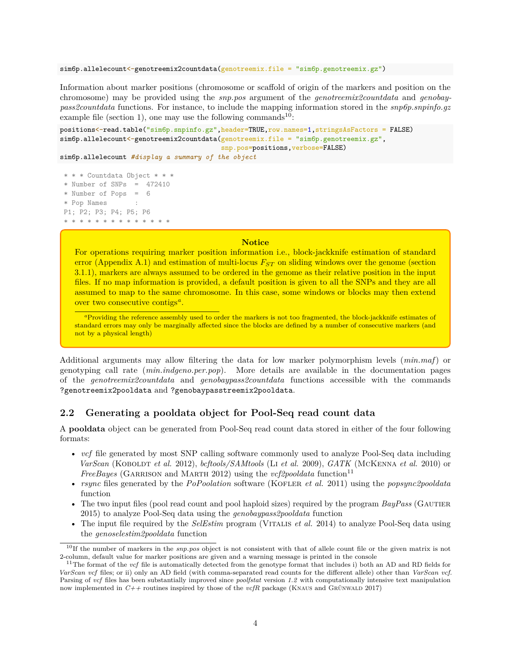sim6p.allelecount<-genotreemix2countdata(genotreemix.file = "sim6p.genotreemix.gz")

Information about marker positions (chromosome or scaffold of origin of the markers and position on the chromosome) may be provided using the *snp.pos* argument of the *genotreemix2countdata* and *genobaypass2countdata* functions. For instance, to include the mapping information stored in the *snp6p.snpinfo.gz* example file (section 1), one may use the following commands<sup>10</sup>:

```
positions<-read.table("sim6p.snpinfo.gz",header=TRUE,row.names=1,stringsAsFactors = FALSE)
sim6p.allelecount <-genotreemix2countdata(genotreemix.file = "sim6p.genotreemix.gz",
                                         snp.pos=positions,verbose=FALSE)
```
sim6p.allelecount *#display a summary of the object*

```
* * * Countdata Object * * *
* Number of SNPs = 472410
* Number of Pops = 6
* Pop Names :
P1; P2; P3; P4; P5; P6
* * * * * * * * * * * * * *
```
### **Notice**

For operations requiring marker position information i.e., block-jackknife estimation of standard error (Appendix A.1) and estimation of multi-locus *FST* on sliding windows over the genome (section 3.1.1), markers are always assumed to be ordered in the genome as their relative position in the input files. If no map information is provided, a default position is given to all the SNPs and they are all assumed to map to the same chromosome. In this case, some windows or blocks may then extend over two consecutive contigs*<sup>a</sup>* .

*<sup>a</sup>*Providing the reference assembly used to order the markers is not too fragmented, the block-jackknife estimates of standard errors may only be marginally affected since the blocks are defined by a number of consecutive markers (and not by a physical length)

Additional arguments may allow filtering the data for low marker polymorphism levels (*min.maf*) or genotyping call rate (*min.indgeno.per.pop*). More details are available in the documentation pages of the *genotreemix2countdata* and *genobaypass2countdata* functions accessible with the commands ?genotreemix2pooldata and ?genobaypasstreemix2pooldata.

### **2.2 Generating a pooldata object for Pool-Seq read count data**

A **pooldata** object can be generated from Pool-Seq read count data stored in either of the four following formats:

- *vcf* file generated by most SNP calling software commonly used to analyze Pool-Seq data including *VarScan* (Koboldt *et al.* 2012), *bcftools/SAMtools* (Li *et al.* 2009), *GATK* (McKenna *et al.* 2010) or *FreeBayes* (GARRISON and MARTH 2012) using the *vcf2pooldata* function<sup>11</sup>
- *rsync* files generated by the *PoPoolation* software (KOFLER *et al.* 2011) using the *popsync2pooldata* function
- The two input files (pool read count and pool haploid sizes) required by the program *BayPass* (GAUTIER 2015) to analyze Pool-Seq data using the *genobaypass2pooldata* function
- The input file required by the *SelEstim* program (Vitalis *et al.* 2014) to analyze Pool-Seq data using the *genoselestim2pooldata* function

<sup>10</sup>If the number of markers in the *snp.pos* object is not consistent with that of allele count file or the given matrix is not 2-column, default value for marker positions are given and a warning message is printed in the console

<sup>&</sup>lt;sup>11</sup>The format of the *vcf* file is automatically detected from the genotype format that includes i) both an AD and RD fields for *VarScan vcf* files; or ii) only an AD field (with comma-separated read counts for the different allele) other than *VarScan vcf*. Parsing of *vcf* files has been substantially improved since *poolfstat* version *1.2* with computationally intensive text manipulation now implemented in  $C++$  routines inspired by those of the  $vcfR$  package (KNAUS and GRÜNWALD 2017)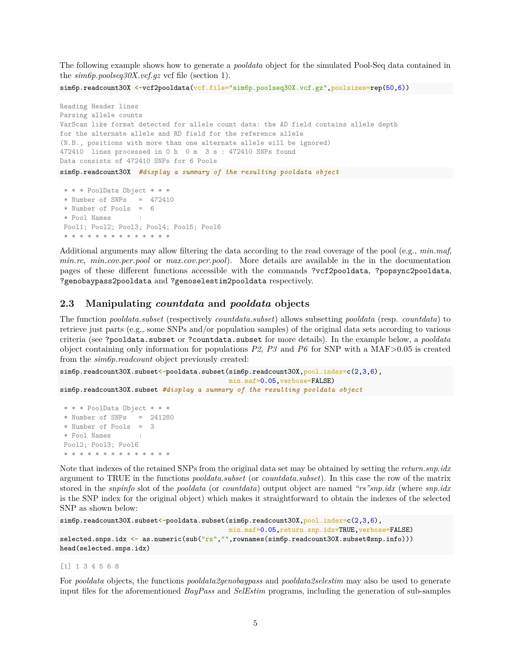The following example shows how to generate a *pooldata* object for the simulated Pool-Seq data contained in the *sim6p.poolseq30X.vcf.gz* vcf file (section 1).

sim6p.readcount30X <-vcf2pooldata(vcf.file="sim6p.poolseq30X.vcf.gz",poolsizes=rep(50,6))

```
Reading Header lines
Parsing allele counts
VarScan like format detected for allele count data: the AD field contains allele depth
for the alternate allele and RD field for the reference allele
(N.B., positions with more than one alternate allele will be ignored)
472410 lines processed in 0 h 0 m 3 s : 472410 SNPs found
Data consists of 472410 SNPs for 6 Pools
sim6p.readcount30X #display a summary of the resulting pooldata object
* * * PoolData Object * * *
* Number of SNPs = 472410
* Number of Pools = 6
* Pool Names :
Pool1; Pool2; Pool3; Pool4; Pool5; Pool6
* * * * * * * * * * * * *
```
Additional arguments may allow filtering the data according to the read coverage of the pool (e.g., *min.maf*, *min.rc*, *min.cov.per.pool* or *max.cov.per.pool*). More details are available in the in the documentation pages of these different functions accessible with the commands ?vcf2pooldata, ?popsync2pooldata, ?genobaypass2pooldata and ?genoselestim2pooldata respectively.

### **2.3 Manipulating** *countdata* **and** *pooldata* **objects**

The function *pooldata.subset* (respectively *countdata.subset*) allows subsetting *pooldata* (resp. *countdata*) to retrieve just parts (e.g., some SNPs and/or population samples) of the original data sets according to various criteria (see ?pooldata.subset or ?countdata.subset for more details). In the example below, a *pooldata* object containing only information for populations  $P2$ ,  $P3$  and  $P6$  for SNP with a MAF $>0.05$  is created from the *sim6p.readcount* object previously created:

```
sim6p.readcount30X.subset <-pooldata.subset(sim6p.readcount30X,pool.index=c(2,3,6),
                                          min.maf=0.05,verbose=FALSE)
sim6p.readcount30X.subset #display a summary of the resulting pooldata object
* * * PoolData Object * * *
* Number of SNPs = 241280
 * Number of Pools = 3
 * Pool Names :
```
Pool2; Pool3; Pool6 \* \* \* \* \* \* \* \* \* \* \* \* \* Note that indexes of the retained SNPs from the original data set may be obtained by setting the *return.snp.idx* argument to TRUE in the functions *pooldata.subset* (or *countdata.subset*). In this case the row of the matrix stored in the *snpinfo* slot of the *pooldata* (or *countdata*) output object are named *"rs"snp.idx* (where *snp.idx* is the SNP index for the original object) which makes it straightforward to obtain the indexes of the selected SNP as shown below:

```
sim6p.readcount30X.subset<-pooldata.subset(sim6p.readcount30X,pool.index=c(2,3,6),
                                           min.maf=0.05,return.snp.idx=TRUE,verbose=FALSE)
selected.snps.idx <- as.numeric(sub("rs","",rownames(sim6p.readcount30X.subset@snp.info)))
head(selected.snps.idx)
```
#### [1] 1 3 4 5 6 8

For *pooldata* objects, the functions *pooldata2genobaypass* and *pooldata2selestim* may also be used to generate input files for the aforementioned *BayPass* and *SelEstim* programs, including the generation of sub-samples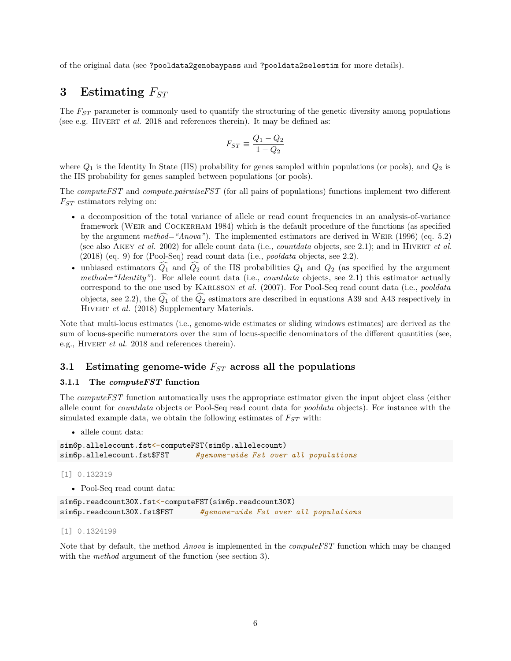of the original data (see ?pooldata2genobaypass and ?pooldata2selestim for more details).

### **3 Estimating** *FST*

The  $F_{ST}$  parameter is commonly used to quantify the structuring of the genetic diversity among populations (see e.g. HIVERT *et al.* 2018 and references therein). It may be defined as:

$$
F_{ST} \equiv \frac{Q_1 - Q_2}{1 - Q_2}
$$

where *Q*<sup>1</sup> is the Identity In State (IIS) probability for genes sampled within populations (or pools), and *Q*<sup>2</sup> is the IIS probability for genes sampled between populations (or pools).

The *computeFST* and *compute.pairwiseFST* (for all pairs of populations) functions implement two different *FST* estimators relying on:

- a decomposition of the total variance of allele or read count frequencies in an analysis-of-variance framework (Weir and Cockerham 1984) which is the default procedure of the functions (as specified by the argument *method="Anova"*). The implemented estimators are derived in Weir (1996) (eq. 5.2) (see also AKEY *et al.* 2002) for allele count data (i.e., *countdata* objects, see 2.1); and in HIVERT *et al.* (2018) (eq. 9) for (Pool-Seq) read count data (i.e., *pooldata* objects, see 2.2).
- unbiased estimators  $\hat{Q}_1$  and  $\hat{Q}_2$  of the IIS probabilities  $Q_1$  and  $Q_2$  (as specified by the argument *method="Identity"*). For allele count data (i.e., *countdata* objects, see 2.1) this estimator actually correspond to the one used by Karlsson *et al.* (2007). For Pool-Seq read count data (i.e., *pooldata* objects, see 2.2), the  $\widehat{Q}_1$  of the  $\widehat{Q}_2$  estimators are described in equations A39 and A43 respectively in HIVERT *et al.* (2018) Supplementary Materials.

Note that multi-locus estimates (i.e., genome-wide estimates or sliding windows estimates) are derived as the sum of locus-specific numerators over the sum of locus-specific denominators of the different quantities (see, e.g., HIVERT *et al.* 2018 and references therein).

### **3.1 Estimating genome-wide** *FST* **across all the populations**

### **3.1.1 The** *computeFST* **function**

The *computeFST* function automatically uses the appropriate estimator given the input object class (either allele count for *countdata* objects or Pool-Seq read count data for *pooldata* objects). For instance with the simulated example data, we obtain the following estimates of *FST* with:

• allele count data:

```
sim6p.allelecount.fst<-computeFST(sim6p.allelecount)
sim6p.allelecount.fst$FST #genome-wide Fst over all populations
```
[1] 0.132319

• Pool-Seq read count data:

```
sim6p.readcount30X.fst<-computeFST(sim6p.readcount30X)
sim6p.readcount30X.fst$FST #genome-wide Fst over all populations
```
[1] 0.1324199

Note that by default, the method *Anova* is implemented in the *computeFST* function which may be changed with the *method* argument of the function (see section 3).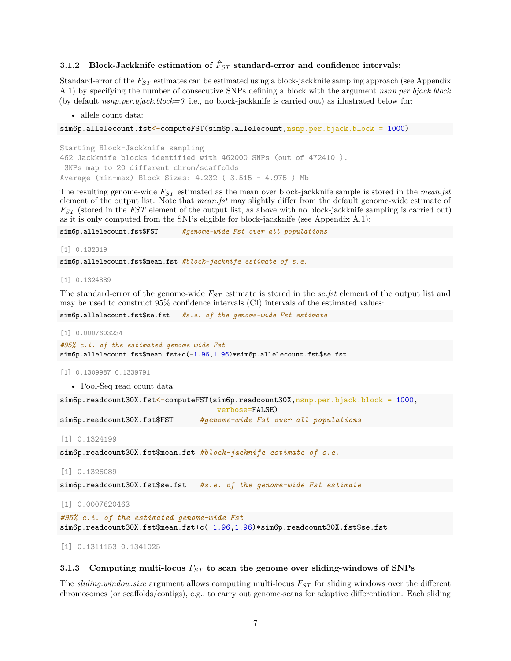### **3.1.2** Block-Jackknife estimation of  $\hat{F}_{ST}$  standard-error and confidence intervals:

Standard-error of the *FST* estimates can be estimated using a block-jackknife sampling approach (see Appendix A.1) by specifying the number of consecutive SNPs defining a block with the argument *nsnp.per.bjack.block* (by default *nsnp.per.bjack.block=0*, i.e., no block-jackknife is carried out) as illustrated below for:

• allele count data:

```
sim6p.allelecount.fst<-computeFST(sim6p.allelecount,nsnp.per.bjack.block = 1000)
```

```
Starting Block-Jackknife sampling
462 Jackknife blocks identified with 462000 SNPs (out of 472410 ).
SNPs map to 20 different chrom/scaffolds
Average (min-max) Block Sizes: 4.232 ( 3.515 - 4.975 ) Mb
```
The resulting genome-wide *FST* estimated as the mean over block-jackknife sample is stored in the *mean.fst* element of the output list. Note that *mean.fst* may slightly differ from the default genome-wide estimate of *FST* (stored in the *FST* element of the output list, as above with no block-jackknife sampling is carried out) as it is only computed from the SNPs eligible for block-jackknife (see Appendix A.1):

sim6p.allelecount.fst\$FST *#genome-wide Fst over all populations*

[1] 0.132319

sim6p.allelecount.fst\$mean.fst *#block-jacknife estimate of s.e.*

[1] 0.1324889

The standard-error of the genome-wide *FST* estimate is stored in the *se.fst* element of the output list and may be used to construct 95% confidence intervals (CI) intervals of the estimated values:

sim6p.allelecount.fst\$se.fst *#s.e. of the genome-wide Fst estimate*

[1] 0.0007603234

```
#95% c.i. of the estimated genome-wide Fst
sim6p.allelecount.fst$mean.fst+c(-1.96,1.96)*sim6p.allelecount.fst$se.fst
```
[1] 0.1309987 0.1339791

• Pool-Seq read count data:

```
sim6p.readcount30X.fst<-computeFST(sim6p.readcount30X,nsnp.per.bjack.block = 1000,
```
verbose=FALSE)

sim6p.readcount30X.fst\$FST *#genome-wide Fst over all populations*

[1] 0.1324199

sim6p.readcount30X.fst\$mean.fst *#block-jacknife estimate of s.e.*

[1] 0.1326089

sim6p.readcount30X.fst\$se.fst *#s.e. of the genome-wide Fst estimate*

[1] 0.0007620463

*#95% c.i. of the estimated genome-wide Fst* sim6p.readcount30X.fst\$mean.fst+c(-1.96,1.96)\*sim6p.readcount30X.fst\$se.fst

[1] 0.1311153 0.1341025

### **3.1.3 Computing multi-locus** *FST* **to scan the genome over sliding-windows of SNPs**

The *sliding.window.size* argument allows computing multi-locus *FST* for sliding windows over the different chromosomes (or scaffolds/contigs), e.g., to carry out genome-scans for adaptive differentiation. Each sliding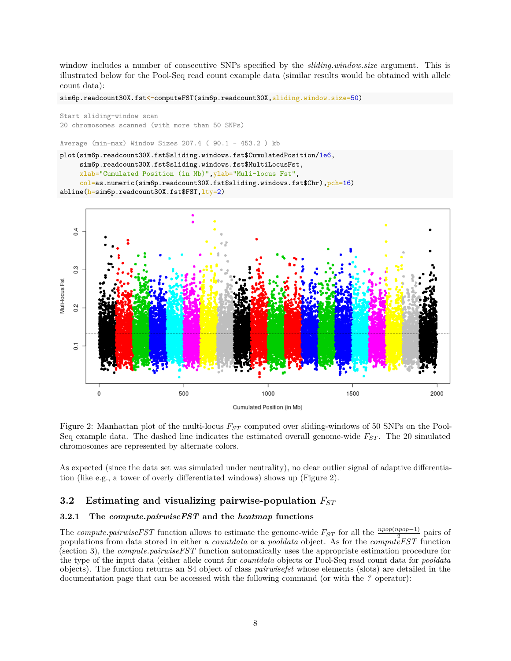window includes a number of consecutive SNPs specified by the *sliding.window.size* argument. This is illustrated below for the Pool-Seq read count example data (similar results would be obtained with allele count data):

sim6p.readcount30X.fst<-computeFST(sim6p.readcount30X,sliding.window.size=50)

```
Start sliding-window scan
20 chromosomes scanned (with more than 50 SNPs)
```
Average (min-max) Window Sizes 207.4 ( 90.1 - 453.2 ) kb

```
plot(sim6p.readcount30X.fst$sliding.windows.fst$CumulatedPosition/1e6,
     sim6p.readcount30X.fst$sliding.windows.fst$MultiLocusFst,
     xlab="Cumulated Position (in Mb)",ylab="Muli-locus Fst",
     col=as.numeric(sim6p.readcount30X.fst$sliding.windows.fst$Chr),pch=16)
abline(h=sim6p.readcount30X.fst$FST, lty=2)
```


Figure 2: Manhattan plot of the multi-locus *FST* computed over sliding-windows of 50 SNPs on the Pool-Seq example data. The dashed line indicates the estimated overall genome-wide  $F_{ST}$ . The 20 simulated chromosomes are represented by alternate colors.

As expected (since the data set was simulated under neutrality), no clear outlier signal of adaptive differentiation (like e.g., a tower of overly differentiated windows) shows up (Figure 2).

### **3.2 Estimating and visualizing pairwise-population** *FST*

### **3.2.1 The** *compute.pairwiseFST* **and the** *heatmap* **functions**

The *compute.pairwiseFST* function allows to estimate the genome-wide  $F_{ST}$  for all the  $\frac{npop(pnpo-1)}{2-pq}\$  pairs of populations from data stored in either a *countdata* or a *pooldata* object. As for the *computeFST* function (section 3), the *compute.pairwiseFST* function automatically uses the appropriate estimation procedure for the type of the input data (either allele count for *countdata* objects or Pool-Seq read count data for *pooldata* objects). The function returns an S4 object of class *pairwisefst* whose elements (slots) are detailed in the documentation page that can be accessed with the following command (or with the *?* operator):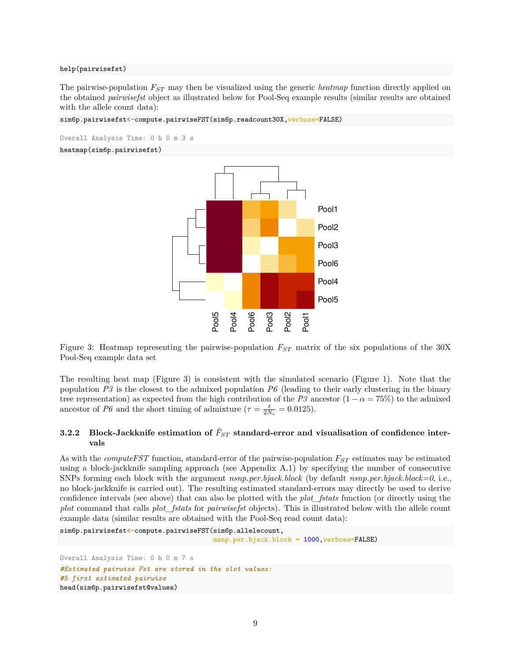#### help(pairwisefst)

The pairwise-population *FST* may then be visualized using the generic *heatmap* function directly applied on the obtained *pairwisefst* object as illustrated below for Pool-Seq example results (similar results are obtained with the allele count data):

sim6p.pairwisefst<-compute.pairwiseFST(sim6p.readcount30X,verbose=FALSE)

Overall Analysis Time: 0 h 0 m 3 s heatmap(sim6p.pairwisefst)



Figure 3: Heatmap representing the pairwise-population *FST* matrix of the six populations of the 30X Pool-Seq example data set

The resulting heat map (Figure 3) is consistent with the simulated scenario (Figure 1). Note that the population  $P3$  is the closest to the admixed population  $P6$  (leading to their early clustering in the binary tree representation) as expected from the high contribution of the *P3* ancestor  $(1 - \alpha = 75\%)$  to the admixed ancestor of *P6* and the short timing of admixture  $(\tau = \frac{t}{2N_e} = 0.0125)$ .

### **3.2.2** Block-Jackknife estimation of  $\hat{F}_{ST}$  standard-error and visualisation of confidence inter**vals**

As with the *computeFST* function, standard-error of the pairwise-population *FST* estimates may be estimated using a block-jackknife sampling approach (see Appendix A.1) by specifying the number of consecutive SNPs forming each block with the argument *nsnp.per.bjack.block* (by default *nsnp.per.bjack.block=0*, i.e., no block-jackknife is carried out). The resulting estimated standard-errors may directly be used to derive confidence intervals (see above) that can also be plotted with the *plot\_fstats* function (or directly using the *plot* command that calls *plot\_fstats* for *pairwisefst* objects). This is illustrated below with the allele count example data (similar results are obtained with the Pool-Seq read count data):

```
sim6p.pairwisefst<-compute.pairwiseFST(sim6p.allelecount,
                                       nsnp.per.bjack.block = 1000,verbose=FALSE)
Overall Analysis Time: 0 h 0 m 7 s
#Estimated pairwise Fst are stored in the slot values:
#5 first estimated pairwise
head(sim6p.pairwisefst@values)
```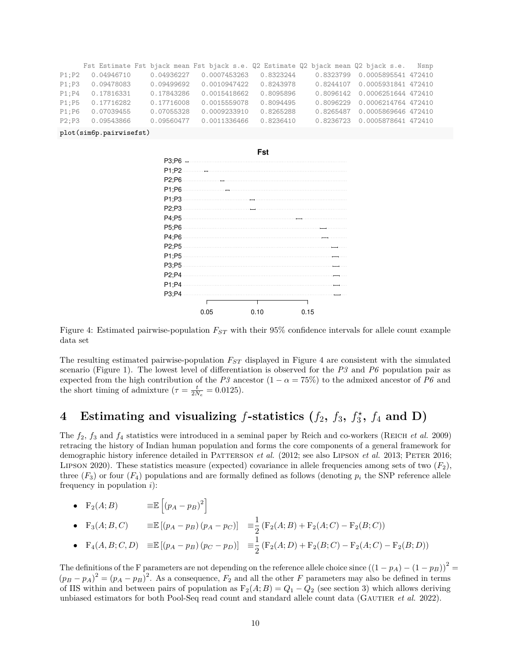|        |            |            | Fst Estimate Fst bjack mean Fst bjack s.e. Q2 Estimate Q2 bjack mean Q2 bjack s.e. Nsnp |           |                                 |  |
|--------|------------|------------|-----------------------------------------------------------------------------------------|-----------|---------------------------------|--|
| P1:P2  | 0.04946710 | 0.04936227 | 0.0007453263                                                                            | 0.8323244 | 0.8323799  0.0005895541  472410 |  |
| P1: P3 | 0.09478083 | 0.09499692 | 0.0010947422                                                                            | 0.8243978 | 0.8244107  0.0005931841  472410 |  |
| P1: P4 | 0.17816331 | 0.17843286 | 0.0015418662                                                                            | 0.8095896 | 0.8096142  0.0006251644  472410 |  |
| P1:PS  | 0.17716282 | 0.17716008 | 0.0015559078                                                                            | 0.8094495 | 0.8096229 0.0006214764 472410   |  |
| P1:PG  | 0.07039455 | 0.07055328 | 0.0009233910                                                                            | 0.8265288 | 0.8265487  0.0005869646  472410 |  |
| P2: P3 | 0.09543866 | 0.09560477 | 0.0011336466                                                                            | 0.8236410 | 0.8236723 0.0005878641 472410   |  |

plot(sim6p.pairwisefst)



Figure 4: Estimated pairwise-population *FST* with their 95% confidence intervals for allele count example data set

The resulting estimated pairwise-population *FST* displayed in Figure 4 are consistent with the simulated scenario (Figure 1). The lowest level of differentiation is observed for the *P3* and *P6* population pair as expected from the high contribution of the *P3* ancestor  $(1 - \alpha = 75\%)$  to the admixed ancestor of *P6* and the short timing of admixture  $(\tau = \frac{t}{2N_e} = 0.0125)$ .

#### **4** Estimating and visualizing  $f$ -statistics  $(f_2, f_3, f_3^*)$  $f_3^{\star}, f_4 \text{ and } \textbf{D}$

The *f*2, *f*<sup>3</sup> and *f*<sup>4</sup> statistics were introduced in a seminal paper by Reich and co-workers (Reich *et al.* 2009) retracing the history of Indian human population and forms the core components of a general framework for demographic history inference detailed in PATTERSON *et al.* (2012; see also LIPSON *et al.* 2013; PETER 2016; LIPSON 2020). These statistics measure (expected) covariance in allele frequencies among sets of two  $(F_2)$ , three  $(F_3)$  or four  $(F_4)$  populations and are formally defined as follows (denoting  $p_i$  the SNP reference allele frequency in population *i*):

|  | $\bullet$ $F_2(A;B)$ | $\equiv\!\mathbb{E}\left[\left(p_A-p_B\right)^2\right]$ |  |
|--|----------------------|---------------------------------------------------------|--|
|--|----------------------|---------------------------------------------------------|--|

• F<sub>3</sub>(*A*; *B*, *C*)  $= \mathbb{E} [(p_A - p_B)(p_A - p_C)] = \frac{1}{2}$  $\frac{1}{2}$  (F<sub>2</sub>(*A*; *B*) + F<sub>2</sub>(*A*; *C*) – F<sub>2</sub>(*B*; *C*))

• 
$$
F_4(A, B; C, D) \equiv \mathbb{E} \left[ (p_A - p_B) (p_C - p_D) \right] \equiv \frac{1}{2} (F_2(A; D) + F_2(B; C) - F_2(A; C) - F_2(B; D))
$$

The definitions of the F parameters are not depending on the reference allele choice since  $((1 - p_A) - (1 - p_B))^2$  $(p_B - p_A)^2 = (p_A - p_B)^2$ . As a consequence,  $F_2$  and all the other *F* parameters may also be defined in terms of IIS within and between pairs of population as  $F_2(A;B) = Q_1 - Q_2$  (see section 3) which allows deriving unbiased estimators for both Pool-Seq read count and standard allele count data (GAUTIER *et al.* 2022).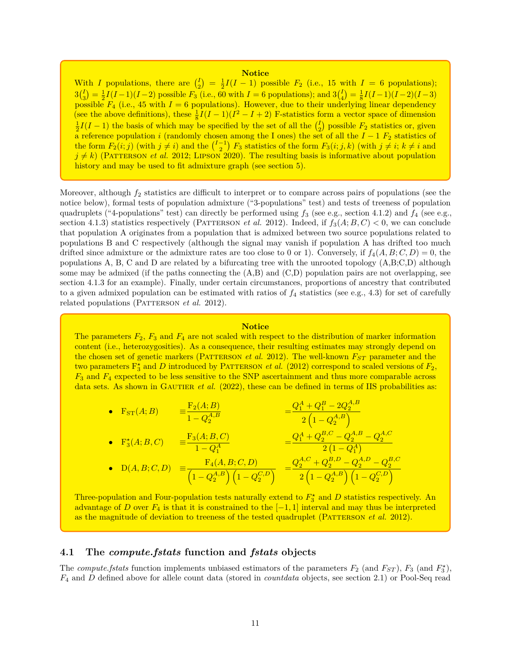### **Notice**

With *I* populations, there are  $\binom{I}{2}$  $\binom{I}{2} = \frac{1}{2}I(I-1)$  possible  $F_2$  (i.e., 15 with  $I = 6$  populations);  $3\binom{I}{3}$  $\binom{I}{3} = \frac{1}{2}I(I-1)(I-2)$  possible  $F_3$  (i.e., 60 with  $I = 6$  populations); and 3( $\binom{I}{4}$  $\binom{I}{4} = \frac{1}{8}I(I-1)(I-2)(I-3)$ possible  $F_4$  (i.e., 45 with  $I = 6$  populations). However, due to their underlying linear dependency (see the above definitions), these  $\frac{1}{8}I(I-1)(I^2-I+2)$  F-statistics form a vector space of dimension  $\frac{1}{2}I(I-1)$  the basis of which may be specified by the set of all the  $\binom{I}{2}$  possible  $F_2$  statistics or, given  $2^{2(1-1)}$  are basis of which hay be specified by the set of all the  $\binom{2}{2}$  possible  $2^{2}$  statistics of a a reference population *i* (randomly chosen among the I ones) the set of all the  $I - 1$   $F_2$  statistics of the form  $F_2(i,j)$  (with  $j \neq i$ ) and the  $\binom{I-1}{2}$   $F_3$  statistics of the form  $F_3(i;j,k)$  (with  $j \neq i; k \neq i$  and  $j \neq k$ ) (PATTERSON *et al.* 2012; LIPSON 2020). The resulting basis is informative about population history and may be used to fit admixture graph (see section 5).

Moreover, although  $f_2$  statistics are difficult to interpret or to compare across pairs of populations (see the notice below), formal tests of population admixture ("3-populations" test) and tests of treeness of population quadruplets ("4-populations" test) can directly be performed using *f*<sup>3</sup> (see e.g., section 4.1.2) and *f*<sup>4</sup> (see e.g., section 4.1.3) statistics respectively (PATTERSON *et al.* 2012). Indeed, if  $f_3(A;B,C) < 0$ , we can conclude that population A originates from a population that is admixed between two source populations related to populations B and C respectively (although the signal may vanish if population A has drifted too much drifted since admixture or the admixture rates are too close to 0 or 1). Conversely, if  $f_4(A, B; C, D) = 0$ , the populations A, B, C and D are related by a bifurcating tree with the unrooted topology (A,B;C,D) although some may be admixed (if the paths connecting the  $(A,B)$  and  $(C,D)$  population pairs are not overlapping, see section 4.1.3 for an example). Finally, under certain circumstances, proportions of ancestry that contributed to a given admixed population can be estimated with ratios of  $f_4$  statistics (see e.g., 4.3) for set of carefully related populations (PATTERSON *et al.* 2012).

### **Notice**

The parameters  $F_2$ ,  $F_3$  and  $F_4$  are not scaled with respect to the distribution of marker information content (i.e., heterozygosities). As a consequence, their resulting estimates may strongly depend on the chosen set of genetic markers (PATTERSON *et al.* 2012). The well-known  $F_{ST}$  parameter and the two parameters  $\mathbb{F}_3^*$  and *D* introduced by PATTERSON *et al.* (2012) correspond to scaled versions of  $F_2$ , *F*<sup>3</sup> and *F*<sup>4</sup> expected to be less sensitive to the SNP ascertainment and thus more comparable across data sets. As shown in GAUTIER *et al.* (2022), these can be defined in terms of IIS probabilities as:

• 
$$
F_{ST}(A; B)
$$
 =  $\frac{F_2(A; B)}{1 - Q_2^{A,B}}$  =  $\frac{Q_1^A + Q_1^B - 2Q_2^{A,B}}{2(1 - Q_2^{A,B})}$   
\n•  $F_3^*(A; B, C)$  =  $\frac{F_3(A; B, C)}{1 - Q_1^A}$  =  $\frac{Q_1^A + Q_2^{B,C} - Q_2^{A,B} - Q_2^{A,C}}{2(1 - Q_1^A)}$ 

• 
$$
D(A, B; C, D) = \frac{F_4(A, B; C, D)}{\left(1 - Q_2^{A, B}\right)\left(1 - Q_2^{C, D}\right)} = \frac{Q_2^{A, C} + Q_2^{B, D} - Q_2^{A, D} - Q_2^{B, C}}{2\left(1 - Q_2^{A, B}\right)\left(1 - Q_2^{C, D}\right)}
$$

Three-population and Four-population tests naturally extend to  $F_3^{\star}$  and  $D$  statistics respectively. An advantage of *D* over  $F_4$  is that it is constrained to the  $[-1, 1]$  interval and may thus be interpreted as the magnitude of deviation to treeness of the tested quadruplet (PATTERSON *et al.* 2012).

### **4.1 The** *compute.fstats* **function and** *fstats* **objects**

The *compute.fstats* function implements unbiased estimators of the parameters  $F_2$  (and  $F_{ST}$ ),  $F_3$  (and  $F_3^*$ ), *F*<sup>4</sup> and *D* defined above for allele count data (stored in *countdata* objects, see section 2.1) or Pool-Seq read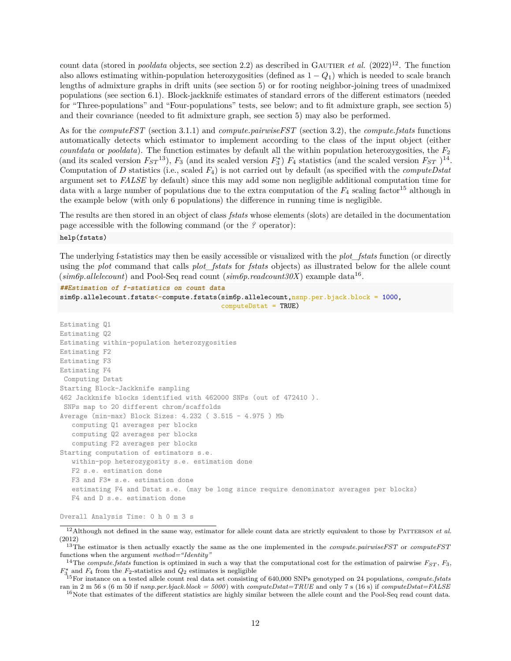count data (stored in *pooldata* objects, see section 2.2) as described in GAUTIER *et al.* (2022)<sup>12</sup>. The function also allows estimating within-population heterozygosities (defined as 1 − *Q*1) which is needed to scale branch lengths of admixture graphs in drift units (see section 5) or for rooting neighbor-joining trees of unadmixed populations (see section 6.1). Block-jackknife estimates of standard errors of the different estimators (needed for "Three-populations" and "Four-populations" tests, see below; and to fit admixture graph, see section 5) and their covariance (needed to fit admixture graph, see section 5) may also be performed.

As for the *computeFST* (section 3.1.1) and *compute.pairwiseFST* (section 3.2), the *compute.fstats* functions automatically detects which estimator to implement according to the class of the input object (either *countdata* or *pooldata*). The function estimates by default all the within population heterozygosities, the *F*<sup>2</sup> (and its scaled version  $F_{ST}$ <sup>13</sup>),  $F_3$  (and its scaled version  $F_3^*$ )  $F_4$  statistics (and the scaled version  $F_{ST}$ )<sup>14</sup>. Computation of *D* statistics (i.e., scaled *F*4) is not carried out by default (as specified with the *computeDstat* argument set to *FALSE* by default) since this may add some non negligible additional computation time for data with a large number of populations due to the extra computation of the  $F_4$  scaling factor<sup>15</sup> although in the example below (with only 6 populations) the difference in running time is negligible.

The results are then stored in an object of class *fstats* whose elements (slots) are detailed in the documentation page accessible with the following command (or the *?* operator):

#### help(fstats)

The underlying f-statistics may then be easily accessible or visualized with the *plot\_fstats* function (or directly using the *plot* command that calls *plot\_fstats* for *fstats* objects) as illustrated below for the allele count  $(sim6p. allelecount)$  and Pool-Seq read count  $(sim6p.readcount30X)$  example data<sup>16</sup>.

**##Estimation of f-statistics on count data**

```
sim6p.allelecount.fstats<-compute.fstats(sim6p.allelecount,nsnp.per.bjack.block = 1000,
                                         computeDstat = TRUE)
Estimating Q1
Estimating Q2
Estimating within-population heterozygosities
Estimating F2
Estimating F3
Estimating F4
Computing Dstat
Starting Block-Jackknife sampling
462 Jackknife blocks identified with 462000 SNPs (out of 472410 ).
SNPs map to 20 different chrom/scaffolds
Average (min-max) Block Sizes: 4.232 ( 3.515 - 4.975 ) Mb
   computing Q1 averages per blocks
   computing Q2 averages per blocks
  computing F2 averages per blocks
Starting computation of estimators s.e.
  within-pop heterozygosity s.e. estimation done
  F2 s.e. estimation done
  F3 and F3* s.e. estimation done
   estimating F4 and Dstat s.e. (may be long since require denominator averages per blocks)
  F4 and D s.e. estimation done
```
Overall Analysis Time: 0 h 0 m 3 s

 $12$ Although not defined in the same way, estimator for allele count data are strictly equivalent to those by PATTERSON  $et$  al. (2012)

<sup>13</sup>The estimator is then actually exactly the same as the one implemented in the *compute.pairwiseFST* or *computeFST* functions when the argument *method="Identity"*

<sup>&</sup>lt;sup>14</sup>The *compute.fstats* function is optimized in such a way that the computational cost for the estimation of pairwise  $F_{ST}$ ,  $F_3$ ,  $F_{3}^{\star}$  and  $F_4$  from the  $F_2$ -statistics and  $Q_2$  estimates is negligible

<sup>15</sup>For instance on a tested allele count real data set consisting of 640,000 SNPs genotyped on 24 populations, *compute.fstats* ran in 2 m 56 s (6 m 50 if *nsnp.per.bjack.block = 5000*) with *computeDstat=TRUE* and only 7 s (16 s) if *computeDstat=FALSE*

<sup>&</sup>lt;sup>16</sup>Note that estimates of the different statistics are highly similar between the allele count and the Pool-Seq read count data.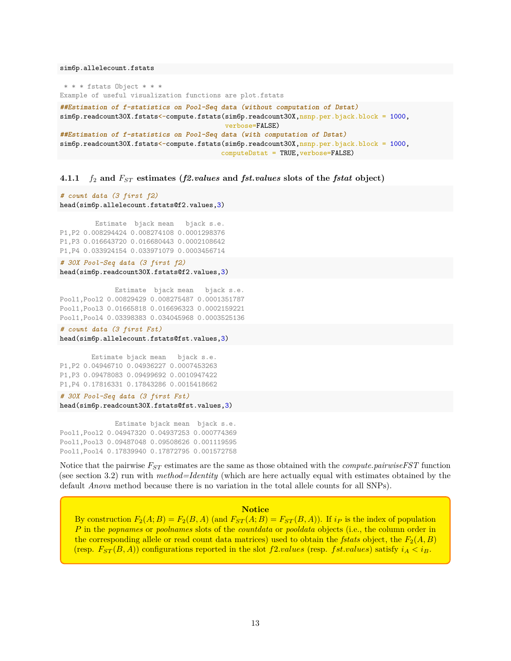sim6p.allelecount.fstats

\* \* \* fstats Object \* \* \* Example of useful visualization functions are plot.fstats **##Estimation of f-statistics on Pool-Seq data (without computation of Dstat)** sim6p.readcount30X.fstats<-compute.fstats(sim6p.readcount30X,nsnp.per.bjack.block = 1000, verbose=FALSE) **##Estimation of f-statistics on Pool-Seq data (with computation of Dstat)** sim6p.readcount30X.fstats<-compute.fstats(sim6p.readcount30X,nsnp.per.bjack.block = 1000, computeDstat = TRUE,verbose=FALSE)

### **4.1.1** *f*<sup>2</sup> **and** *FST* **estimates (***f2.values* **and** *fst.values* **slots of the** *fstat* **object)**

*# count data (3 first f2)* head(sim6p.allelecount.fstats@f2.values,3)

Estimate bjack mean bjack s.e. P1,P2 0.008294424 0.008274108 0.0001298376 P1,P3 0.016643720 0.016680443 0.0002108642 P1,P4 0.033924154 0.033971079 0.0003456714

*# 30X Pool-Seq data (3 first f2)* head(sim6p.readcount30X.fstats@f2.values,3)

Estimate bjack mean bjack s.e. Pool1,Pool2 0.00829429 0.008275487 0.0001351787 Pool1,Pool3 0.01665818 0.016696323 0.0002159221 Pool1,Pool4 0.03398383 0.034045968 0.0003525136

*# count data (3 first Fst)* head(sim6p.allelecount.fstats@fst.values,3)

Estimate bjack mean bjack s.e. P1,P2 0.04946710 0.04936227 0.0007453263 P1,P3 0.09478083 0.09499692 0.0010947422 P1,P4 0.17816331 0.17843286 0.0015418662

*# 30X Pool-Seq data (3 first Fst)* head(sim6p.readcount30X.fstats@fst.values,3)

Estimate bjack mean bjack s.e. Pool1,Pool2 0.04947320 0.04937253 0.000774369 Pool1,Pool3 0.09487048 0.09508626 0.001119595 Pool1,Pool4 0.17839940 0.17872795 0.001572758

Notice that the pairwise *FST* estimates are the same as those obtained with the *compute.pairwiseFST* function (see section 3.2) run with *method=Identity* (which are here actually equal with estimates obtained by the default *Anova* method because there is no variation in the total allele counts for all SNPs).

#### **Notice**

By construction  $F_2(A; B) = F_2(B, A)$  (and  $F_{ST}(A; B) = F_{ST}(B, A)$ ). If  $i_P$  is the index of population *P* in the *popnames* or *poolnames* slots of the *countdata* or *pooldata* objects (i.e., the column order in the corresponding allele or read count data matrices) used to obtain the *fstats* object, the  $F_2(A, B)$ (resp.  $F_{ST}(B, A)$ ) configurations reported in the slot *f*2*.values* (resp. *fst.values*) satisfy  $i_A < i_B$ .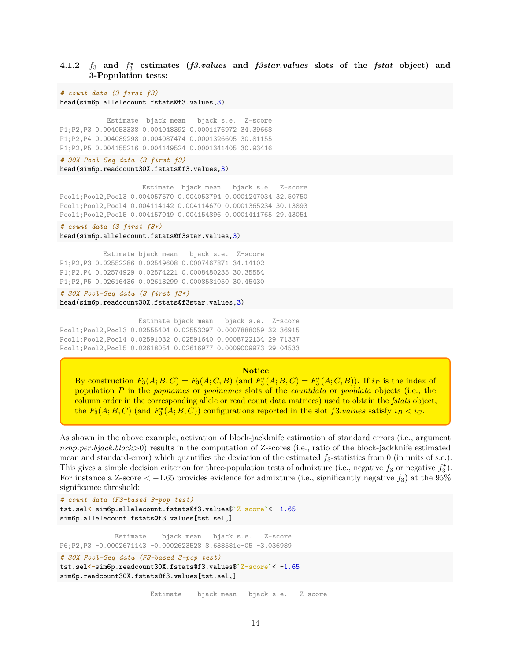### **4.1.2**  $f_3$  and  $f_3^*$  estimates (*f3.values* and *f3star.values* slots of the *fstat* object) and **3-Population tests:**

*# count data (3 first f3)* head(sim6p.allelecount.fstats@f3.values,3)

Estimate bjack mean bjack s.e. Z-score P1;P2,P3 0.004053338 0.004048392 0.0001176972 34.39668 P1;P2,P4 0.004089298 0.004087474 0.0001326605 30.81155 P1;P2,P5 0.004155216 0.004149524 0.0001341405 30.93416

### *# 30X Pool-Seq data (3 first f3)*

head(sim6p.readcount30X.fstats@f3.values,3)

Estimate bjack mean bjack s.e. Z-score Pool1;Pool2,Pool3 0.004057570 0.004053794 0.0001247034 32.50750 Pool1;Pool2,Pool4 0.004114142 0.004114670 0.0001365234 30.13893 Pool1;Pool2,Pool5 0.004157049 0.004154896 0.0001411765 29.43051

#### *# count data (3 first f3\*)*

head(sim6p.allelecount.fstats@f3star.values,3)

Estimate bjack mean bjack s.e. Z-score P1;P2,P3 0.02552286 0.02549608 0.0007467871 34.14102 P1;P2,P4 0.02574929 0.02574221 0.0008480235 30.35554 P1;P2,P5 0.02616436 0.02613299 0.0008581050 30.45430

*# 30X Pool-Seq data (3 first f3\*)* head(sim6p.readcount30X.fstats@f3star.values,3)

Estimate bjack mean bjack s.e. Z-score Pool1;Pool2,Pool3 0.02555404 0.02553297 0.0007888059 32.36915 Pool1;Pool2,Pool4 0.02591032 0.02591640 0.0008722134 29.71337 Pool1;Pool2,Pool5 0.02618054 0.02616977 0.0009009973 29.04533

#### **Notice**

By construction  $F_3(A; B, C) = F_3(A; C, B)$  (and  $F_3^*(A; B, C) = F_3^*(A; C, B)$ ). If  $i_P$  is the index of population *P* in the *popnames* or *poolnames* slots of the *countdata* or *pooldata* objects (i.e., the column order in the corresponding allele or read count data matrices) used to obtain the *fstats* object, the  $F_3(A; B, C)$  (and  $F_3^*(A; B, C)$ ) configurations reported in the slot  $f3.values$  satisfy  $i_B < i_C$ .

As shown in the above example, activation of block-jackknife estimation of standard errors (i.e., argument *nsnp.per.bjack.block*>0) results in the computation of Z-scores (i.e., ratio of the block-jackknife estimated mean and standard-error) which quantifies the deviation of the estimated *f*3-statistics from 0 (in units of s.e.). This gives a simple decision criterion for three-population tests of admixture (i.e., negative  $f_3$  or negative  $f_3^*$ ). For instance a Z-score  $\langle -1.65 \text{ provides evidence for admixture (i.e., significantly negative } f_3 \rangle$  at the 95% significance threshold:

```
# count data (F3-based 3-pop test)
tst.sel<-sim6p.allelecount.fstats@f3.values$`Z-score`< -1.65
sim6p.allelecount.fstats@f3.values[tst.sel,]
```

```
Estimate bjack mean bjack s.e. Z-score
P6;P2,P3 -0.0002671143 -0.0002623528 8.638581e-05 -3.036989
# 30X Pool-Seq data (F3-based 3-pop test)
tst.sel<-sim6p.readcount30X.fstats@f3.values$`Z-score`< -1.65
```
sim6p.readcount30X.fstats@f3.values[tst.sel,]

Estimate bjack mean bjack s.e. Z-score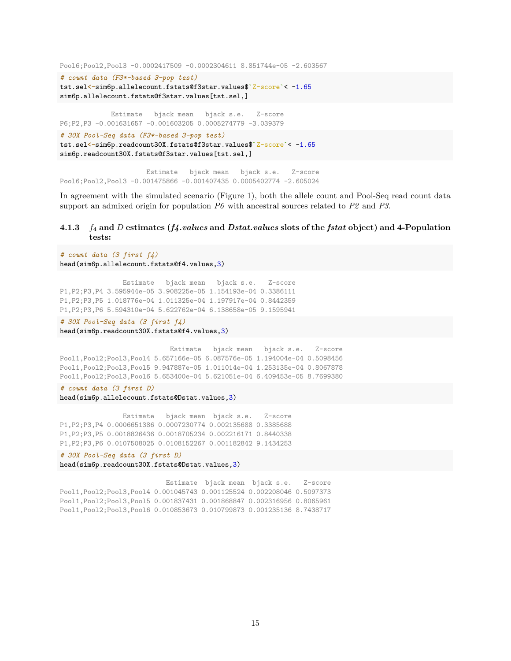```
Pool6;Pool2,Pool3 -0.0002417509 -0.0002304611 8.851744e-05 -2.603567
# count data (F3*-based 3-pop test)
tst.sel<-sim6p.allelecount.fstats@f3star.values$`Z-score`< -1.65
sim6p.allelecount.fstats@f3star.values[tst.sel,]
            Estimate bjack mean bjack s.e. Z-score
P6;P2,P3 -0.001631657 -0.001603205 0.0005274779 -3.039379
# 30X Pool-Seq data (F3*-based 3-pop test)
tst.sel<-sim6p.readcount30X.fstats@f3star.values$`Z-score`< -1.65
sim6p.readcount30X.fstats@f3star.values[tst.sel,]
                     Estimate bjack mean bjack s.e. Z-score
```
Pool6;Pool2,Pool3 -0.001475866 -0.001407435 0.0005402774 -2.605024

In agreement with the simulated scenario (Figure 1), both the allele count and Pool-Seq read count data support an admixed origin for population *P6* with ancestral sources related to *P2* and *P3*.

### **4.1.3** *f*<sup>4</sup> **and** *D* **estimates (***f4.values* **and** *Dstat.values* **slots of the** *fstat* **object) and 4-Population tests:**

```
# count data (3 first f4)
head(sim6p.allelecount.fstats@f4.values,3)
```
Estimate bjack mean bjack s.e. Z-score P1,P2;P3,P4 3.595944e-05 3.908225e-05 1.154193e-04 0.3386111 P1,P2;P3,P5 1.018776e-04 1.011325e-04 1.197917e-04 0.8442359 P1,P2;P3,P6 5.594310e-04 5.622762e-04 6.138658e-05 9.1595941

*# 30X Pool-Seq data (3 first f4)* head(sim6p.readcount30X.fstats@f4.values,3)

```
Estimate bjack mean bjack s.e. Z-score
Pool1,Pool2;Pool3,Pool4 5.657166e-05 6.087576e-05 1.194004e-04 0.5098456
Pool1,Pool2;Pool3,Pool5 9.947887e-05 1.011014e-04 1.253135e-04 0.8067878
Pool1,Pool2;Pool3,Pool6 5.653400e-04 5.621051e-04 6.409453e-05 8.7699380
```
*# count data (3 first D)* head(sim6p.allelecount.fstats@Dstat.values,3)

Estimate bjack mean bjack s.e. Z-score P1,P2;P3,P4 0.0006651386 0.0007230774 0.002135688 0.3385688 P1,P2;P3,P5 0.0018826436 0.0018705234 0.002216171 0.8440338 P1,P2;P3,P6 0.0107508025 0.0108152267 0.001182842 9.1434253

*# 30X Pool-Seq data (3 first D)* head(sim6p.readcount30X.fstats@Dstat.values,3)

Estimate bjack mean bjack s.e. Z-score Pool1,Pool2;Pool3,Pool4 0.001045743 0.001125524 0.002208046 0.5097373 Pool1,Pool2;Pool3,Pool5 0.001837431 0.001868847 0.002316956 0.8065961 Pool1,Pool2;Pool3,Pool6 0.010853673 0.010799873 0.001235136 8.7438717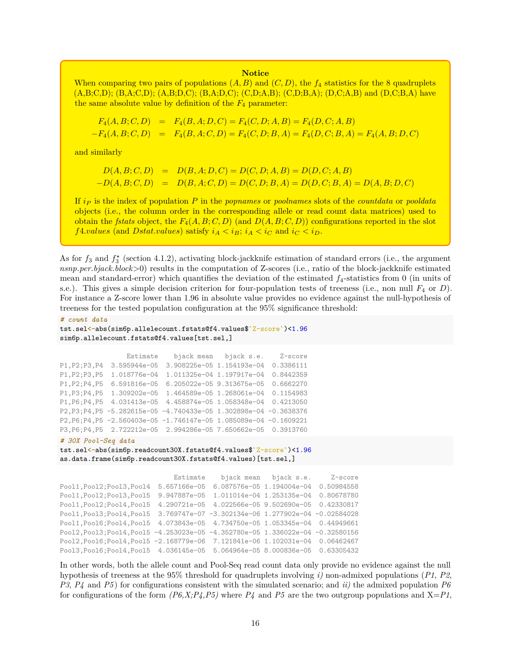#### **Notice**

When comparing two pairs of populations  $(A, B)$  and  $(C, D)$ , the  $f_4$  statistics for the 8 quadruplets  $(A,B;C,D); (B,A;C,D); (A,B;D,C); (B,A;D,C); (C,D;A,B); (C,D;B,A); (D,C;A,B)$  and  $(D,C;B,A)$  have the same absolute value by definition of the  $F_4$  parameter:

$$
F_4(A, B; C, D) = F_4(B, A; D, C) = F_4(C, D; A, B) = F_4(D, C; A, B)
$$
  
-
$$
F_4(A, B; C, D) = F_4(B, A; C, D) = F_4(C, D; B, A) = F_4(D, C; B, A) = F_4(A, B; D, C)
$$

and similarly

$$
D(A, B; C, D) = D(B, A; D, C) = D(C, D; A, B) = D(D, C; A, B)
$$
  
-D(A, B; C, D) = D(B, A; C, D) = D(C, D; B, A) = D(D, C; B, A) = D(A, B; D, C)

If *i<sup>P</sup>* is the index of population *P* in the *popnames* or *poolnames* slots of the *countdata* or *pooldata* objects (i.e., the column order in the corresponding allele or read count data matrices) used to obtain the *fstats* object, the  $F_4(A, B; C, D)$  (and  $D(A, B; C, D)$ ) configurations reported in the slot *f*4*.values* (and *Dstat.values*) satisfy  $i_A < i_B$ ;  $i_A < i_C$  and  $i_C < i_D$ .

As for  $f_3$  and  $f_3^*$  (section 4.1.2), activating block-jackknife estimation of standard errors (i.e., the argument *nsnp.per.bjack.block*>0) results in the computation of Z-scores (i.e., ratio of the block-jackknife estimated mean and standard-error) which quantifies the deviation of the estimated *f*4-statistics from 0 (in units of s.e.). This gives a simple decision criterion for four-population tests of treeness (i.e., non null *F*<sup>4</sup> or *D*). For instance a Z-score lower than 1*.*96 in absolute value provides no evidence against the null-hypothesis of treeness for the tested population configuration at the 95% significance threshold:

```
# count data
tst.sel<-abs(sim6p.allelecount.fstats@f4.values$`Z-score`)<1.96
sim6p.allelecount.fstats@f4.values[tst.sel,]
```

```
Estimate bjack mean bjack s.e. Z-score
P1,P2;P3,P4 3.595944e-05 3.908225e-05 1.154193e-04 0.3386111
P1,P2;P3,P5 1.018776e-04 1.011325e-04 1.197917e-04 0.8442359
P1,P2;P4,P5 6.591816e-05 6.205022e-05 9.313675e-05 0.6662270
P1,P3;P4,P5 1.309202e-05 1.464589e-05 1.268061e-04 0.1154983
P1,P6;P4,P5 4.031413e-05 4.458874e-05 1.058348e-04 0.4213050
P2,P3;P4,P5 -5.282615e-05 -4.740433e-05 1.302898e-04 -0.3638376
P2,P6;P4,P5 -2.560403e-05 -1.746147e-05 1.085089e-04 -0.1609221
P3,P6;P4,P5 2.722212e-05 2.994286e-05 7.650662e-05 0.3913760
```

```
# 30X Pool-Seq data
tst.sel<-abs(sim6p.readcount30X.fstats@f4.values$`Z-score`)<1.96
as.data.frame(sim6p.readcount30X.fstats@f4.values)[tst.sel,]
```

```
Estimate bjack mean bjack s.e. Z-score
Pool1,Pool2;Pool3,Pool4 5.657166e-05 6.087576e-05 1.194004e-04 0.50984558
Pool1,Pool2;Pool3,Pool5 9.947887e-05 1.011014e-04 1.253135e-04 0.80678780
Pool1,Pool2;Pool4,Pool5 4.290721e-05 4.022566e-05 9.502690e-05 0.42330817
Pool1,Pool3;Pool4,Pool5 3.769747e-07 -3.302134e-06 1.277902e-04 -0.02584028
Pool1,Pool6;Pool4,Pool5 4.073843e-05 4.734750e-05 1.053345e-04 0.44949661
Pool2,Pool3;Pool4,Pool5 -4.253023e-05 -4.352780e-05 1.336022e-04 -0.32580156
Pool2,Pool6;Pool4,Pool5 -2.168779e-06 7.121841e-06 1.102031e-04 0.06462467
Pool3,Pool6;Pool4,Pool5 4.036145e-05 5.064964e-05 8.000836e-05 0.63305432
```
In other words, both the allele count and Pool-Seq read count data only provide no evidence against the null hypothesis of treeness at the 95% threshold for quadruplets involving *i)* non-admixed populations (*P1*, *P2*, *P3*, *P4* and *P5* ) for configurations consistent with the simulated scenario; and *ii)* the admixed population *P6* for configurations of the form  $(P6, X; P4, P5)$  where  $P4$  and  $P5$  are the two outgroup populations and  $X = P1$ ,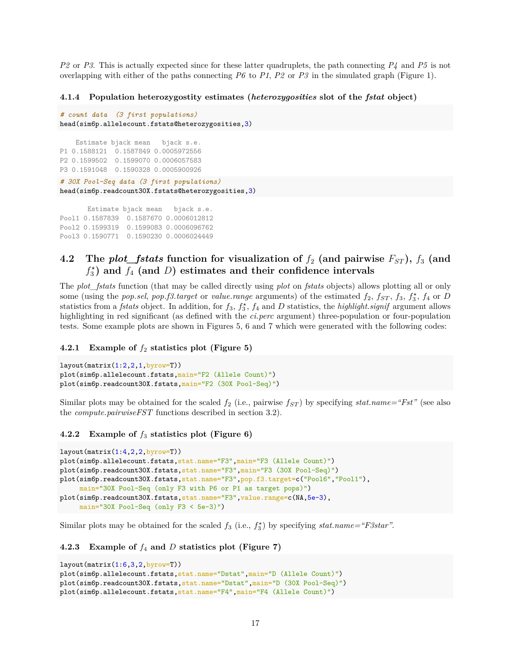*P2* or *P3*. This is actually expected since for these latter quadruplets, the path connecting *P4* and *P5* is not overlapping with either of the paths connecting  $P6$  to  $P1$ ,  $P2$  or  $P3$  in the simulated graph (Figure 1).

### **4.1.4 Population heterozygostity estimates (***heterozygosities* **slot of the** *fstat* **object)**

```
# count data (3 first populations)
head(sim6p.allelecount.fstats@heterozygosities,3)
    Estimate bjack mean bjack s.e.
P1 0.1588121 0.1587849 0.0005972556
P2 0.1599502 0.1599070 0.0006057583
P3 0.1591048 0.1590328 0.0005900926
# 30X Pool-Seq data (3 first populations)
head(sim6p.readcount30X.fstats@heterozygosities,3)
       Estimate bjack mean bjack s.e.
Pool1 0.1587839 0.1587670 0.0006012812
```

```
Pool2 0.1599319 0.1599083 0.0006096762
Pool3 0.1590771 0.1590230 0.0006024449
```
### **4.2** The *plot\_fstats* function for visualization of  $f_2$  (and pairwise  $F_{ST}$ ),  $f_3$  (and *f ⋆* 3 **) and** *f*<sup>4</sup> **(and** *D***) estimates and their confidence intervals**

The *plot\_fstats* function (that may be called directly using *plot* on *fstats* objects) allows plotting all or only some (using the *pop.sel, pop.f3.target* or *value.range* arguments) of the estimated  $f_2$ ,  $f_{ST}$ ,  $f_3$ ,  $f_4$ <sup>\*</sup>,  $f_4$  or *D* statistics from a *fstats* object. In addition, for  $f_3$ ,  $f_3$ ,  $f_4$  and *D* statistics, the *highlight.signif* argument allows highlighting in red significant (as defined with the *ci.perc* argument) three-population or four-population tests. Some example plots are shown in Figures 5, 6 and 7 which were generated with the following codes:

### **4.2.1 Example of** *f*<sup>2</sup> **statistics plot (Figure 5)**

```
layout(\text{matrix}(1:2,2,1,\text{byrow=T}))plot(sim6p.allelecount.fstats,main="F2 (Allele Count)")
plot(sim6p.readcount30X.fstats,main="F2 (30X Pool-Seq)")
```
Similar plots may be obtained for the scaled  $f_2$  (i.e., pairwise  $f_{ST}$ ) by specifying  $stat.name = "Fst"$  (see also the *compute.pairwiseFST* functions described in section 3.2).

### **4.2.2 Example of** *f*<sup>3</sup> **statistics plot (Figure 6)**

```
layout(\text{matrix}(1:4,2,2,\text{byrow=T}))plot(sim6p.allelecount.fstats,stat.name="F3",main="F3 (Allele Count)")
plot(sim6p.readcount30X.fstats,stat.name="F3",main="F3 (30X Pool-Seq)")
plot(sim6p.readcount30X.fstats,stat.name="F3",pop.f3.target=c("Pool6","Pool1"),
     main="30X Pool-Seq (only F3 with P6 or P1 as target pops)")
plot(sim6p.readcount30X.fstats,stat.name="F3",value.range=c(NA,5e-3),
     main="30X Pool-Seq (only F3 < 5e-3)")
```
Similar plots may be obtained for the scaled  $f_3$  (i.e.,  $f_3^*$ ) by specifying  $stat.name = "F3star".$ 

### **4.2.3 Example of** *f*<sup>4</sup> **and** *D* **statistics plot (Figure 7)**

```
layout(matrix(1:6,3,2,byrow=T))
plot(sim6p.allelecount.fstats,stat.name="Dstat",main="D (Allele Count)")
plot(sim6p.readcount30X.fstats,stat.name="Dstat",main="D (30X Pool-Seq)")
plot(sim6p.allelecount.fstats,stat.name="F4",main="F4 (Allele Count)")
```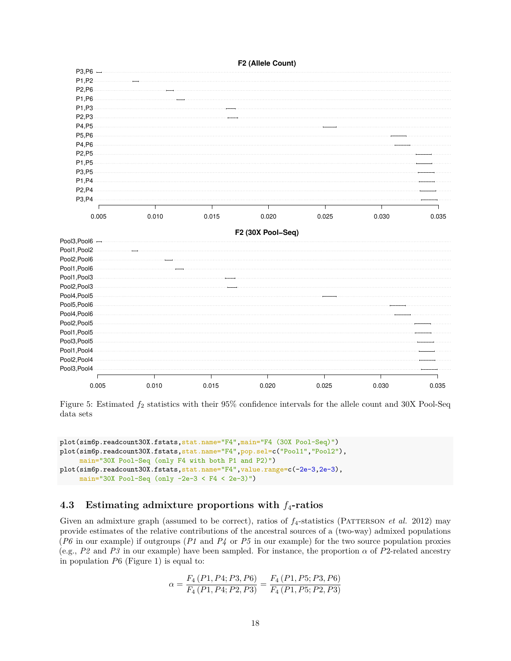

Figure 5: Estimated  $f_2$  statistics with their 95% confidence intervals for the allele count and 30X Pool-Seq data sets

```
plot(sim6p.readcount30X.fstats,stat.name="F4",main="F4 (30X Pool-Seq)")
plot(sim6p.readcount30X.fstats,stat.name="F4",pop.sel=c("Pool1","Pool2"),
     main="30X Pool-Seq (only F4 with both P1 and P2)")
plot(sim6p.readcount30X.fstats,stat.name="F4",value.range=c(-2e-3,2e-3),
     main="30X Pool-Seq (only -2e-3 < F4 < 2e-3)")
```
### **4.3 Estimating admixture proportions with** *f*4**-ratios**

Given an admixture graph (assumed to be correct), ratios of  $f_4$ -statistics (PATTERSON *et al.* 2012) may provide estimates of the relative contributions of the ancestral sources of a (two-way) admixed populations (*P6* in our example) if outgroups (*P1* and *P4* or *P5* in our example) for the two source population proxies (e.g.,  $P2$  and  $P3$  in our example) have been sampled. For instance, the proportion  $\alpha$  of  $P2$ -related ancestry in population *P*6 (Figure 1) is equal to:

$$
\alpha = \frac{F_4\left(P1, P4; P3, P6\right)}{F_4\left(P1, P4; P2, P3\right)} = \frac{F_4\left(P1, P5; P3, P6\right)}{F_4\left(P1, P5; P2, P3\right)}
$$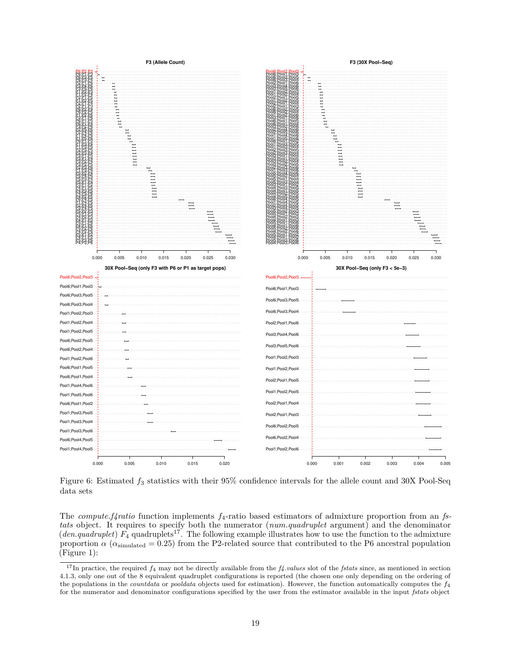

Figure 6: Estimated *f*<sup>3</sup> statistics with their 95% confidence intervals for the allele count and 30X Pool-Seq data sets

The *compute.f4ratio* function implements *f*4-ratio based estimators of admixture proportion from an *fstats* object. It requires to specify both the numerator (*num.quadruplet* argument) and the denominator (*den.quadruplet*)  $F_4$  quadruplets<sup>17</sup>. The following example illustrates how to use the function to the admixture proportion  $\alpha$  ( $\alpha$ <sub>simulated</sub> = 0.25) from the P2-related source that contributed to the P6 ancestral population (Figure 1):

<sup>17</sup>In practice, the required *f*<sup>4</sup> may not be directly available from the *f4.values* slot of the *fstats* since, as mentioned in section 4.1.3, only one out of the 8 equivalent quadruplet configurations is reported (the chosen one only depending on the ordering of the populations in the *countdata* or *pooldata* objects used for estimation). However, the function automatically computes the *f*4 for the numerator and denominator configurations specified by the user from the estimator available in the input *fstats* object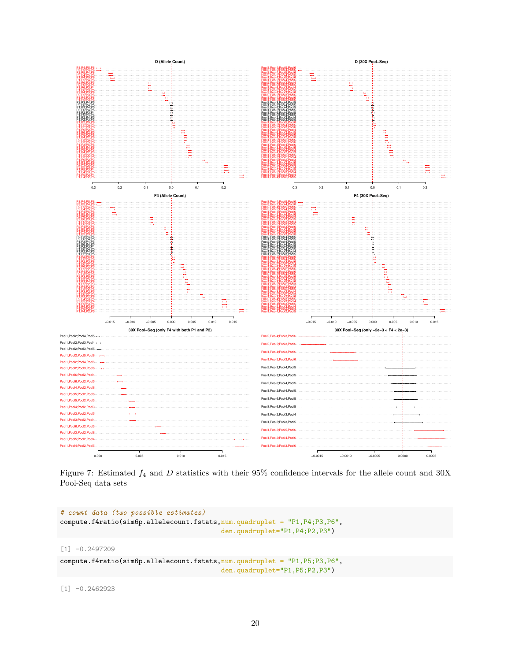

Figure 7: Estimated *f*<sup>4</sup> and *D* statistics with their 95% confidence intervals for the allele count and 30X Pool-Seq data sets

```
# count data (two possible estimates)
compute.f4ratio(sim6p.allelecount.fstats,num.quadruplet = "P1,P4;P3,P6",
                                         den.quadruplet="P1,P4;P2,P3")
[1] -0.2497209
compute.f4ratio(sim6p.allelecount.fstats,num.quadruplet = "P1,P5;P3,P6",
                                         den.quadruplet="P1,P5;P2,P3")
```
[1] -0.2462923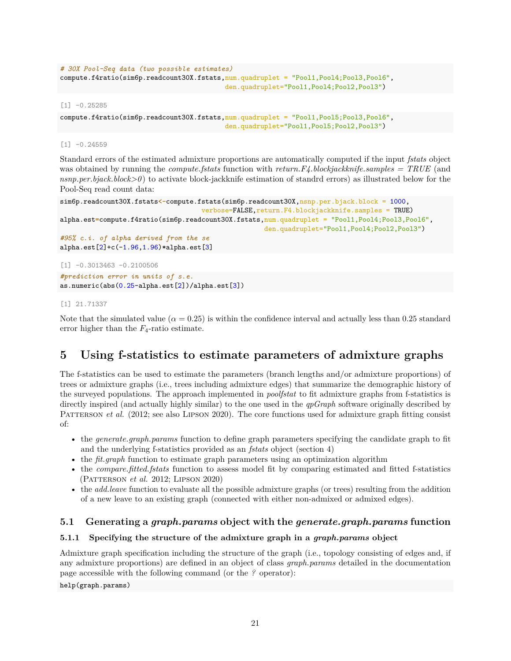```
# 30X Pool-Seq data (two possible estimates)
compute.f4ratio(sim6p.readcount30X.fstats,num.quadruplet = "Pool1,Pool4;Pool3,Pool6",
                                          den.quadruplet="Pool1,Pool4;Pool2,Pool3")
```
 $[1] -0.25285$ 

```
compute.f4ratio(sim6p.readcount30X.fstats,num.quadruplet = "Pool1,Pool5;Pool3,Pool6",
                                          den.quadruplet="Pool1,Pool5;Pool2,Pool3")
```
 $[1] -0.24559$ 

Standard errors of the estimated admixture proportions are automatically computed if the input *fstats* object was obtained by running the *compute.fstats* function with *return.F4.blockjackknife.samples = TRUE* (and *nsnp.per.bjack.block>0* ) to activate block-jackknife estimation of standrd errors) as illustrated below for the Pool-Seq read count data:

```
sim6p.readcount30X.fstats<-compute.fstats(sim6p.readcount30X,nsnp.per.bjack.block = 1000,
                                    verbose=FALSE,return.F4.blockjackknife.samples = TRUE)
alpha.est=compute.f4ratio(sim6p.readcount30X.fstats,num.quadruplet = "Pool1,Pool4;Pool3,Pool6",
                                                    den.quadruplet="Pool1,Pool4;Pool2,Pool3")
#95% c.i. of alpha derived from the se
alpha.est[2]+c(-1.96, 1.96)*alpha.est[3]
```
[1] -0.3013463 -0.2100506 *#prediction error in units of s.e.* as.numeric(abs(0.25-alpha.est[2])/alpha.est[3])

### [1] 21.71337

Note that the simulated value ( $\alpha = 0.25$ ) is within the confidence interval and actually less than 0.25 standard error higher than the  $F_4$ -ratio estimate.

## **5 Using f-statistics to estimate parameters of admixture graphs**

The f-statistics can be used to estimate the parameters (branch lengths and/or admixture proportions) of trees or admixture graphs (i.e., trees including admixture edges) that summarize the demographic history of the surveyed populations. The approach implemented in *poolfstat* to fit admixture graphs from f-statistics is directly inspired (and actually highly similar) to the one used in the *qpGraph* software originally described by PATTERSON *et al.* (2012; see also LIPSON 2020). The core functions used for admixture graph fitting consist of:

- the *generate.graph.params* function to define graph parameters specifying the candidate graph to fit and the underlying f-statistics provided as an *fstats* object (section 4)
- the *fit.graph* function to estimate graph parameters using an optimization algorithm
- the *compare.fitted.fstats* function to assess model fit by comparing estimated and fitted f-statistics (Patterson *et al.* 2012; Lipson 2020)
- the *add.leave* function to evaluate all the possible admixture graphs (or trees) resulting from the addition of a new leave to an existing graph (connected with either non-admixed or admixed edges).

### **5.1 Generating a** *graph.params* **object with the** *generate.graph.params* **function**

### **5.1.1 Specifying the structure of the admixture graph in a** *graph.params* **object**

Admixture graph specification including the structure of the graph (i.e., topology consisting of edges and, if any admixture proportions) are defined in an object of class *graph.params* detailed in the documentation page accessible with the following command (or the *?* operator):

help(graph.params)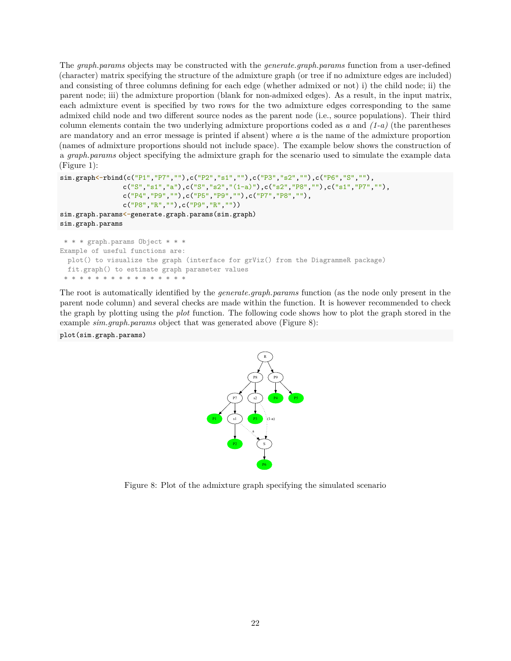The *graph.params* objects may be constructed with the *generate.graph.params* function from a user-defined (character) matrix specifying the structure of the admixture graph (or tree if no admixture edges are included) and consisting of three columns defining for each edge (whether admixed or not) i) the child node; ii) the parent node; iii) the admixture proportion (blank for non-admixed edges). As a result, in the input matrix, each admixture event is specified by two rows for the two admixture edges corresponding to the same admixed child node and two different source nodes as the parent node (i.e., source populations). Their third column elements contain the two underlying admixture proportions coded as *a* and *(1-a)* (the parentheses are mandatory and an error message is printed if absent) where *a* is the name of the admixture proportion (names of admixture proportions should not include space). The example below shows the construction of a *graph.params* object specifying the admixture graph for the scenario used to simulate the example data (Figure 1):

```
sim.graph<-rbind(c("P1","P7",""),c("P2","s1",""),c("P3","s2",""),c("P6","S",""),
                c("S","s1","a"),c("S","s2","(1-a)"),c("s2","P8",""),c("s1","P7",""),
                c("P4","P9",""),c("P5","P9",""),c("P7","P8",""),
                c("P8","R",""),c("P9","R",""))
sim.graph.params<-generate.graph.params(sim.graph)
```
sim.graph.params

```
* * * graph.params Object * * *
Example of useful functions are:
 plot() to visualize the graph (interface for grViz() from the DiagrammeR package)
 fit.graph() to estimate graph parameter values
* * * * * * * * * * * * * * * *
```
The root is automatically identified by the *generate.graph.params* function (as the node only present in the parent node column) and several checks are made within the function. It is however recommended to check the graph by plotting using the *plot* function. The following code shows how to plot the graph stored in the example *sim.graph.params* object that was generated above (Figure 8):

```
plot(sim.graph.params)
```


Figure 8: Plot of the admixture graph specifying the simulated scenario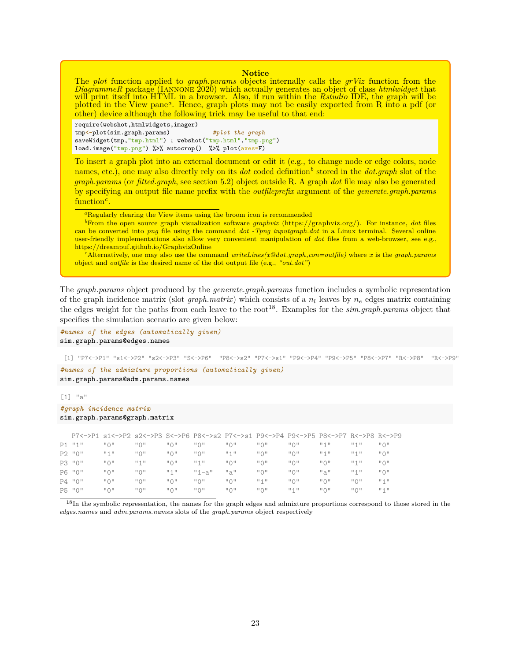#### **Notice**

The *plot* function applied to *graph.params* objects internally calls the *grViz* function from the *DiagrammeR* package (Iannone 2020) which actually generates an object of class *htmlwidget* that will print itself into HTML in a browser. Also, if run within the *Rstudio* IDE, the graph will be plotted in the View pane*<sup>a</sup>* . Hence, graph plots may not be easily exported from R into a pdf (or other) device although the following trick may be useful to that end:

require(webshot,htmlwidgets,imager) tmp<-plot(sim.graph.params) *#plot the graph* saveWidget(tmp,"tmp.html") ; webshot("tmp.html","tmp.png") load.image("tmp.png") %>% autocrop() %>% plot(axes=F)

To insert a graph plot into an external document or edit it (e.g., to change node or edge colors, node names, etc.), one may also directly rely on its *dot* coded definition<sup>b</sup> stored in the *dot.graph* slot of the *graph.params* (or *fitted.graph*, see section 5.2) object outside R. A graph *dot* file may also be generated by specifying an output file name prefix with the *outfileprefix* argument of the *generate.graph.params* function*<sup>c</sup>* .

<sup>a</sup>Regularly clearing the View items using the broom icon is recommended

*<sup>b</sup>*From the open source graph visualization software *graphviz* (https://graphviz.org/). For instance, *dot* files can be converted into *png* file using the command *dot -Tpng inputgraph.dot* in a Linux terminal. Several online user-friendly implementations also allow very convenient manipulation of *dot* files from a web-browser, see e.g., https://dreampuf.github.io/GraphvizOnline

*<sup>c</sup>*Alternatively, one may also use the command *writeLines(x@dot.graph,con=outfile)* where *x* is the *graph.params* object and *outfile* is the desired name of the dot output file (e.g., *"out.dot"*)

The *graph.params* object produced by the *generate.graph.params* function includes a symbolic representation of the graph incidence matrix (slot *graph.matrix*) which consists of a *n<sup>l</sup>* leaves by *n<sup>e</sup>* edges matrix containing the edges weight for the paths from each leave to the root<sup>18</sup>. Examples for the *sim.graph.params* object that specifies the simulation scenario are given below:

*#names of the edges (automatically given)* sim.graph.params@edges.names

[1] "P7<->P1" "s1<->P2" "s2<->P3" "S<->P6" "P8<->s2" "P7<->s1" "P9<->P4" "P9<->P5" "P8<->P7" "R<->P8" "R<->P9"

*#names of the admixture proportions (automatically given)* sim.graph.params@adm.params.names

 $[1]$  "a"

```
#graph incidence matrix
```

```
sim.graph.params@graph.matrix
```

|          |                                                | P7<->P1_s1<->P2_s2<->P3_S<->P6_P8<->s2_P7<->s1_P9<->P4_P9<->P5_P8<->P7_R<->P8_R<->P9 |                                                |                              |                              |                              |                              |                                 |                              |                                                |
|----------|------------------------------------------------|--------------------------------------------------------------------------------------|------------------------------------------------|------------------------------|------------------------------|------------------------------|------------------------------|---------------------------------|------------------------------|------------------------------------------------|
| $P1$ "1" | $\mathsf{H} \cup \mathsf{H}$                   | $\mathsf{H} \cup \mathsf{H}$                                                         | $\overline{11}$ $\overline{1}$ $\overline{11}$ | $\mathsf{H} \cup \mathsf{H}$ | $\mathsf{H} \cup \mathsf{H}$ | $\mathsf{H} \cup \mathsf{H}$ | $\mathsf{H} \cup \mathsf{H}$ | $11 - 11$                       | $II + II$                    | $\mathsf{H} \cup \mathsf{H}$                   |
| P2 "0"   | $11 + 11$                                      | $\mathsf{H} \cup \mathsf{H}$                                                         | $\mathsf{H} \cup \mathsf{H}$                   | $\mathsf{H} \cup \mathsf{H}$ | $II + II$                    | $\mathsf{H} \cup \mathsf{H}$ | "0"                          | $11 - 11$                       | $II + II$                    | $\overline{11}$ $\overline{1}$ $\overline{11}$ |
| P3 "0"   | $\overline{11}$ $\overline{1}$ $\overline{11}$ | $II + II$                                                                            | $\mathsf{H} \cup \mathsf{H}$                   | $11 - 11$                    | $\mathsf{H} \cup \mathsf{H}$ | $\mathsf{H} \cup \mathsf{H}$ | $\mathsf{H} \cup \mathsf{H}$ | $\mathsf{H} \cup \mathsf{H}$    | $II + II$                    | $\mathsf{H} \cup \mathsf{H}$                   |
| P6 "0"   | $\mathsf{H} \cup \mathsf{H}$                   | $\mathsf{H} \cup \mathsf{H}$                                                         | $11 - 11$                                      | $"1 - a"$                    | "a"                          | $\mathsf{H} \cup \mathsf{H}$ | "0"                          | "a"                             | $II + II$                    | "0"                                            |
| $P4$ "0" | $\mathsf{H} \cup \mathsf{H}$                   | $\mathsf{H} \cup \mathsf{H}$                                                         | $\mathsf{H} \cup \mathsf{H}$                   | $\mathsf{H} \cup \mathsf{H}$ | $\mathsf{H} \cup \mathsf{H}$ | $II + II$                    | "0"                          | $\mathsf{H} \cup \mathsf{H}$    | $\mathsf{H} \cup \mathsf{H}$ | $II + II$                                      |
| P5 "0"   | $\mathsf{H} \cup \mathsf{H}$                   | $\mathsf{H} \cup \mathsf{H}$                                                         | $\mathsf{H} \bigcap \mathsf{H}$                | $\mathsf{H} \cup \mathsf{H}$ | $\mathsf{H} \cup \mathsf{H}$ | $\mathsf{H} \cup \mathsf{H}$ | $II + II$                    | $\mathsf{H} \bigcap \mathsf{H}$ | $\mathsf{H} \cup \mathsf{H}$ | $II + II$                                      |

<sup>18</sup>In the symbolic representation, the names for the graph edges and admixture proportions correspond to those stored in the *edges.names* and *adm.params.names* slots of the *graph.params* object respectively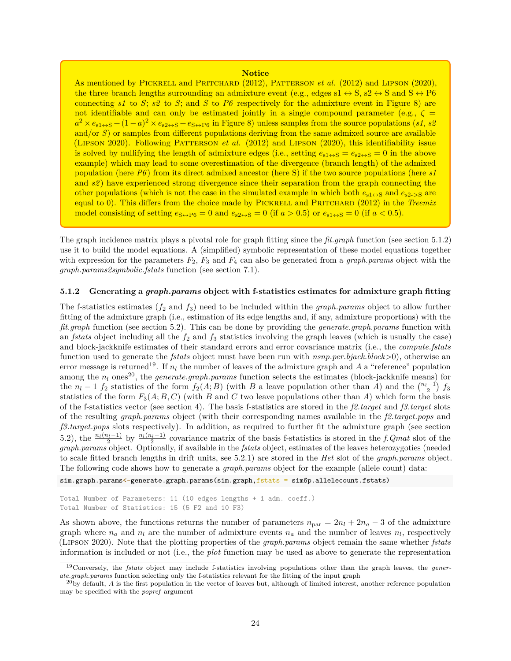#### **Notice**

As mentioned by PICKRELL and PRITCHARD (2012), PATTERSON *et al.* (2012) and LIPSON (2020), the three branch lengths surrounding an admixture event (e.g., edges  $s1 \leftrightarrow S$ ,  $s2 \leftrightarrow S$  and  $S \leftrightarrow P6$ connecting  $s1$  to  $S$ ;  $s2$  to  $S$ ; and  $S$  to  $P6$  respectively for the admixture event in Figure 8) are not identifiable and can only be estimated jointly in a single compound parameter (e.g.,  $\zeta =$  $a^2 \times e_{s1\leftrightarrow S} + (1-a)^2 \times e_{s2\leftrightarrow S} + e_{S\leftrightarrow P6}$  in Figure 8) unless samples from the source populations (*s1*, *s2* and/or *S*) or samples from different populations deriving from the same admixed source are available (Lipson 2020). Following Patterson *et al.* (2012) and Lipson (2020), this identifiability issue is solved by nullifying the length of admixture edges (i.e., setting  $e_{s1\leftrightarrow S} = e_{s2\leftrightarrow S} = 0$  in the above example) which may lead to some overestimation of the divergence (branch length) of the admixed population (here *P6* ) from its direct admixed ancestor (here S) if the two source populations (here *s1* and *s2*) have experienced strong divergence since their separation from the graph connecting the other populations (which is not the case in the simulated example in which both  $e_{s1\leftrightarrow S}$  and  $e_{s2\to S}$  are equal to 0). This differs from the choice made by PICKRELL and PRITCHARD (2012) in the *Treemix* model consisting of setting  $e_{S\leftrightarrow P6} = 0$  and  $e_{S\leftrightarrow S} = 0$  (if  $a > 0.5$ ) or  $e_{S1\leftrightarrow S} = 0$  (if  $a < 0.5$ ).

The graph incidence matrix plays a pivotal role for graph fitting since the *fit.graph* function (see section 5.1.2) use it to build the model equations. A (simplified) symbolic representation of these model equations together with expression for the parameters  $F_2$ ,  $F_3$  and  $F_4$  can also be generated from a *graph.params* object with the *graph.params2symbolic.fstats* function (see section 7.1).

### **5.1.2 Generating a** *graph.params* **object with f-statistics estimates for admixture graph fitting**

The f-statistics estimates (*f*<sup>2</sup> and *f*3) need to be included within the *graph.params* object to allow further fitting of the admixture graph (i.e., estimation of its edge lengths and, if any, admixture proportions) with the *fit.graph* function (see section 5.2). This can be done by providing the *generate.graph.params* function with an *fstats* object including all the  $f_2$  and  $f_3$  statistics involving the graph leaves (which is usually the case) and block-jackknife estimates of their standard errors and error covariance matrix (i.e., the *compute.fstats* function used to generate the *fstats* object must have been run with *nsnp.per.bjack.block*>0), otherwise an error message is returned<sup>19</sup>. If  $n_l$  the number of leaves of the admixture graph and A a "reference" population among the  $n_l$  ones<sup>20</sup>, the *generate.graph.params* function selects the estimates (block-jackknife means) for the  $n_l - 1$   $f_2$  statistics of the form  $f_2(A;B)$  (with *B* a leave population other than *A*) and the  $\binom{n_l-1}{2}$   $f_3$ statistics of the form  $F_3(A; B, C)$  (with *B* and *C* two leave populations other than *A*) which form the basis of the f-statistics vector (see section 4). The basis f-statistics are stored in the *f2.target* and *f3.target* slots of the resulting *graph.params* object (with their corresponding names available in the *f2.target.pops* and *f3.target.pops* slots respectively). In addition, as required to further fit the admixture graph (see section 5.2), the  $\frac{n_l(n_l-1)}{2}$  by  $\frac{n_l(n_l-1)}{2}$  covariance matrix of the basis f-statistics is stored in the *f.Qmat* slot of the *graph.params* object. Optionally, if available in the *fstats* object, estimates of the leaves heterozygoties (needed to scale fitted branch lengths in drift units, see 5.2.1) are stored in the *Het* slot of the *graph.params* object. The following code shows how to generate a *graph.params* object for the example (allele count) data:

sim.graph.params<-generate.graph.params(sim.graph,fstats = sim6p.allelecount.fstats)

```
Total Number of Parameters: 11 (10 edges lengths + 1 adm. coeff.)
Total Number of Statistics: 15 (5 F2 and 10 F3)
```
As shown above, the functions returns the number of parameters  $n_{\text{par}} = 2n_l + 2n_a - 3$  of the admixture graph where  $n_a$  and  $n_l$  are the number of admixture events  $n_a$  and the number of leaves  $n_l$ , respectively (Lipson 2020). Note that the plotting properties of the *graph.params* object remain the same whether *fstats* information is included or not (i.e., the *plot* function may be used as above to generate the representation

<sup>19</sup>Conversely, the *fstats* object may include f-statistics involving populations other than the graph leaves, the *generate.graph.params* function selecting only the f-statistics relevant for the fitting of the input graph

<sup>&</sup>lt;sup>20</sup>by default, *A* is the first population in the vector of leaves but, although of limited interest, another reference population may be specified with the *popref* argument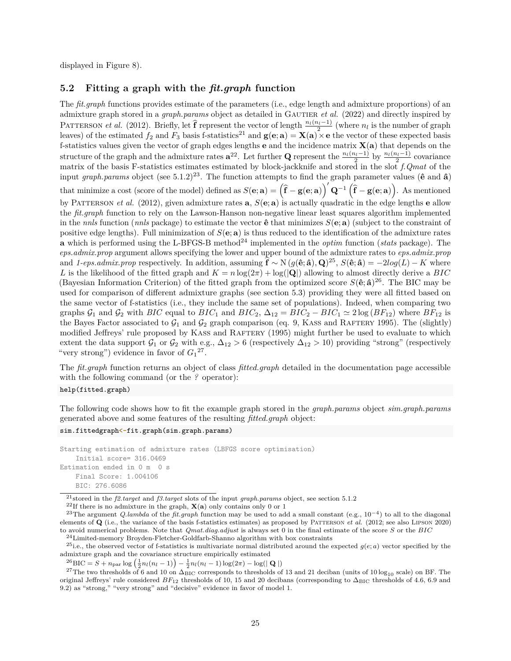displayed in Figure 8).

### **5.2 Fitting a graph with the** *fit.graph* **function**

The *fit.graph* functions provides estimate of the parameters (i.e., edge length and admixture proportions) of an admixture graph stored in a *graph.params* object as detailed in GAUTIER *et al.* (2022) and directly inspired by PATTERSON *et al.* (2012). Briefly, let  $\hat{\mathbf{f}}$  represent the vector of length  $\frac{n_l(n_l-1)}{2}$  (where  $n_l$  is the number of graph leaves) of the estimated  $f_2$  and  $F_3$  basis f-statistics<sup>21</sup> and  $\mathbf{g}(\mathbf{e}; \mathbf{a}) = \mathbf{X}(\mathbf{a}) \times \mathbf{e}$  the vector of these expected basis f-statistics values given the vector of graph edges lengths **e** and the incidence matrix **X**(**a**) that depends on the structure of the graph and the admixture rates  $a^{22}$ . Let further **Q** represent the  $\frac{n_l(n_l-1)}{2}$  by  $\frac{n_l(n_l-1)}{2}$  covariance matrix of the basis F-statistics estimates estimated by block-jackknife and stored in the slot *f.Qmat* of the input *graph.params* object (see 5.1.2)<sup>23</sup>. The function attempts to find the graph parameter values ( $\hat{\bf{e}}$  and  $\hat{\bf{a}}$ ) that minimize a cost (score of the model) defined as  $S(\mathbf{e}; \mathbf{a}) = (\hat{\mathbf{f}} - \mathbf{g}(\mathbf{e}; \mathbf{a}))$  $\int' \mathbf{Q}^{-1} (\mathbf{\hat{f}} - \mathbf{g}(\mathbf{e}; \mathbf{a}))$ . As mentioned by Patterson *et al.* (2012), given admixture rates **a**, *S*(**e**; **a**) is actually quadratic in the edge lengths **e** allow the *fit.graph* function to rely on the Lawson-Hanson non-negative linear least squares algorithm implemented in the *nnls* function (*nnls* package) to estimate the vector  $\hat{\mathbf{e}}$  that minimizes  $S(\mathbf{e}; \mathbf{a})$  (subject to the constraint of positive edge lengths). Full minimization of  $S(\mathbf{e}; \mathbf{a})$  is thus reduced to the identification of the admixture rates **a** which is performed using the L-BFGS-B method<sup>24</sup> implemented in the *optim* function (*stats* package). The *eps.admix.prop* argument allows specifying the lower and upper bound of the admixture rates to *eps.admix.prop* and *1-eps.admix.prop* respectively. In addition, assuming  $\hat{\mathbf{f}} \sim N (g(\hat{\mathbf{e}}; \hat{\mathbf{a}}), \mathbf{Q})^{25}$ ,  $S(\hat{\mathbf{e}}; \hat{\mathbf{a}}) = -2log(L) - K$  where *L* is the likelihood of the fitted graph and  $K = n \log(2\pi) + \log(|\mathbf{Q}|)$  allowing to almost directly derive a *BIC* (Bayesian Information Criterion) of the fitted graph from the optimized score  $S(\hat{\mathbf{e}}; \hat{\mathbf{a}})^{26}$ . The BIC may be used for comparison of different admixture graphs (see section 5.3) providing they were all fitted based on the same vector of f-statistics (i.e., they include the same set of populations). Indeed, when comparing two graphs  $\mathcal{G}_1$  and  $\mathcal{G}_2$  with *BIC* equal to *BIC*<sub>1</sub> and *BIC*<sub>2</sub>,  $\Delta_{12} = BIC_2 - BIC_1 \simeq 2 \log (BF_{12})$  where  $BF_{12}$  is the Bayes Factor associated to  $G_1$  and  $G_2$  graph comparison (eq. 9, KASS and RAFTERY 1995). The (slightly) modified Jeffreys' rule proposed by KASS and RAFTERY (1995) might further be used to evaluate to which extent the data support  $\mathcal{G}_1$  or  $\mathcal{G}_2$  with e.g.,  $\Delta_{12} > 6$  (respectively  $\Delta_{12} > 10$ ) providing "strong" (respectively "very strong") evidence in favor of  $G_1^2$ .

The *fit.graph* function returns an object of class *fitted.graph* detailed in the documentation page accessible with the following command (or the *?* operator):

help(fitted.graph)

The following code shows how to fit the example graph stored in the *graph.params* object *sim.graph.params* generated above and some features of the resulting *fitted.graph* object:

```
sim.fittedgraph<-fit.graph(sim.graph.params)
```

```
Starting estimation of admixture rates (LBFGS score optimisation)
   Initial score= 316.0469
Estimation ended in 0 m 0 s
   Final Score: 1.004106
    BIC: 276.6086
```
admixture graph and the covariance structure empirically estimated

 $^{26}$ BIC =  $S + n_{\text{par}} \log \left( \frac{1}{2} n_l (n_l - 1) \right) - \frac{1}{2} n_l (n_l - 1) \log(2\pi) - \log(|\mathbf{Q}|)$ 

<sup>27</sup>The two thresholds of 6 and 10 on  $\Delta_{\text{BIC}}$  corresponds to thresholds of 13 and 21 deciban (units of 10 log<sub>10</sub> scale) on BF. The original Jeffreys' rule considered  $BF_{12}$  thresholds of 10, 15 and 20 decibans (corresponding to  $\Delta_{BIC}$  thresholds of 4.6, 6.9 and 9*.*2) as "strong," "very strong" and "decisive" evidence in favor of model 1.

<sup>21</sup>stored in the *f2.target* and *f3.target* slots of the input *graph.params* object, see section 5.1.2

<sup>&</sup>lt;sup>22</sup>If there is no admixture in the graph,  $\mathbf{X}(\mathbf{a})$  only contains only 0 or 1

<sup>23</sup>The argument *Q.lambda* of the *fit.graph* function may be used to add a small constant (e.g., 10−<sup>4</sup> ) to all to the diagonal elements of **Q** (i.e., the variance of the basis f-statistics estimates) as proposed by Patterson *et al.* (2012; see also Lipson 2020) to avoid numerical problems. Note that *Qmat.diag.adjust* is always set 0 in the final estimate of the score *S* or the *BIC*

 $^{24}\mathrm{Limited\text{-}memory}$  Broyden-Fletcher-Goldfarb-Shanno algorithm with box constraints <sup>25</sup>i.e., the observed vector of f-statistics is multivariate normal distributed around the expected  $g(e; a)$  vector specified by the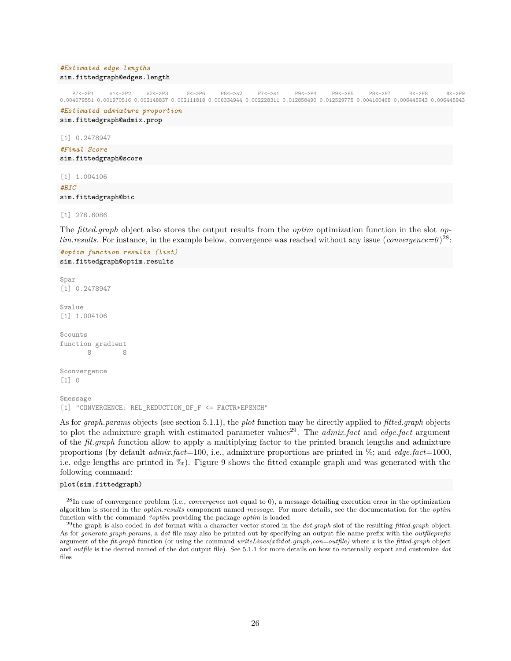#### *#Estimated edge lengths* sim.fittedgraph@edges.length

P7<->P1 s1<->P2 s2<->P3 S<->P6 P8<->s2 P7<->s1 P9<->P4 P9<->P5 P8<->P7 R<->P8 R<->P9 0.004079551 0.001970516 0.002148837 0.002111818 0.006334944 0.002228311 0.012858490 0.012529775 0.004160468 0.006445943 0.006445943

*#Estimated admixture proportion* sim.fittedgraph@admix.prop

[1] 0.2478947 *#Final Score* sim.fittedgraph@score

[1] 1.004106 *#BIC* sim.fittedgraph@bic

[1] 276.6086

The *fitted.graph* object also stores the output results from the *optim* optimization function in the slot *optim.results.* For instance, in the example below, convergence was reached without any issue (*convergence*= $0)^{28}$ :

*#optim function results (list)* sim.fittedgraph@optim.results

```
$par
[1] 0.2478947
$value
[1] 1.004106
$counts
function gradient
       8 8
$convergence
[1] 0
$message
[1] "CONVERGENCE: REL_REDUCTION_OF_F <= FACTR*EPSMCH"
```
As for *graph.params* objects (see section 5.1.1), the *plot* function may be directly applied to *fitted.graph* objects to plot the admixture graph with estimated parameter values<sup>29</sup>. The *admix.fact* and *edge.fact* argument of the *fit.graph* function allow to apply a multiplying factor to the printed branch lengths and admixture proportions (by default *admix.fact*=100, i.e., admixture proportions are printed in %; and *edge.fact*=1000, i.e. edge lengths are printed in  $\%$ . Figure 9 shows the fitted example graph and was generated with the following command:

#### plot(sim.fittedgraph)

<sup>28</sup>In case of convergence problem (i.e., *convergence* not equal to 0), a message detailing execution error in the optimization algorithm is stored in the *optim.results* component named *message*. For more details, see the documentation for the *optim* function with the command *?optim* providing the package *optim* is loaded

<sup>29</sup>the graph is also coded in *dot* format with a character vector stored in the *dot.graph* slot of the resulting *fitted.graph* object. As for *generate.graph.params*, a *dot* file may also be printed out by specifying an output file name prefix with the *outfileprefix* argument of the *fit.graph* function (or using the command *writeLines(x@dot.graph,con=outfile)* where *x* is the *fitted.graph* object and *outfile* is the desired named of the dot output file). See 5.1.1 for more details on how to externally export and customize *dot* files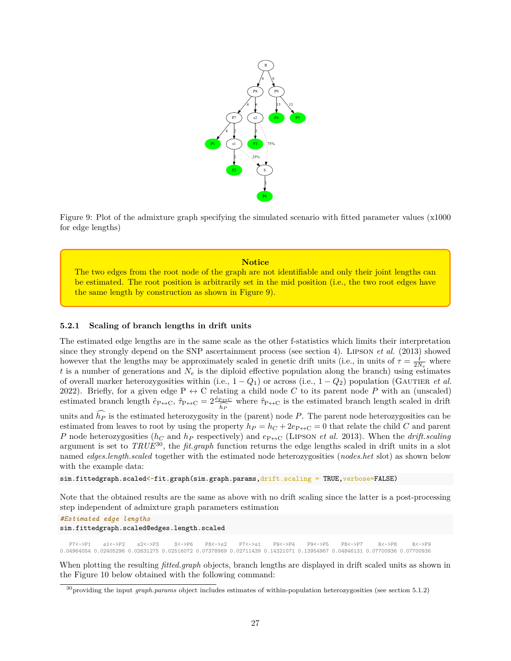

Figure 9: Plot of the admixture graph specifying the simulated scenario with fitted parameter values (x1000 for edge lengths)

### **Notice** The two edges from the root node of the graph are not identifiable and only their joint lengths can be estimated. The root position is arbitrarily set in the mid position (i.e., the two root edges have the same length by construction as shown in Figure 9).

### **5.2.1 Scaling of branch lengths in drift units**

The estimated edge lengths are in the same scale as the other f-statistics which limits their interpretation since they strongly depend on the SNP ascertainment process (see section 4). Lipson *et al.* (2013) showed however that the lengths may be approximately scaled in genetic drift units (i.e., in units of  $\tau = \frac{t}{2N_e}$  where *t* is a number of generations and  $N_e$  is the diploid effective population along the branch) using estimates of overall marker heterozygosities within (i.e.,  $1 - Q_1$ ) or across (i.e.,  $1 - Q_2$ ) population (GAUTIER *et al.* 2022). Briefly, for a given edge  $P \leftrightarrow C$  relating a child node *C* to its parent node *P* with an (unscaled) estimated branch length  $\hat{e}_{P \leftrightarrow C}$ ,  $\hat{\tau}_{P \leftrightarrow C} = 2 \frac{\hat{e}_{P \leftrightarrow C}}{2}$ *h*c*P* where  $\hat{\tau}_{P\leftrightarrow C}$  is the estimated branch length scaled in drift

units and  $\widehat{h_P}$  is the estimated heterozygosity in the (parent) node *P*. The parent node heterozygosities can be estimated from leaves to root by using the property  $h_P = h_C + 2e_{P\leftrightarrow C} = 0$  that relate the child *C* and parent *P* node heterozygosities ( $h_C$  and  $h_P$  respectively) and  $e_{P\leftrightarrow C}$  (LIPSON *et al.* 2013). When the *drift.scaling* argument is set to *TRUE*<sup>30</sup>, the *fit.graph* function returns the edge lengths scaled in drift units in a slot named *edges.length.scaled* together with the estimated node heterozygosities (*nodes.het* slot) as shown below with the example data:

sim.fittedgraph.scaled<-fit.graph(sim.graph.params,drift.scaling = TRUE, verbose=FALSE)

Note that the obtained results are the same as above with no drift scaling since the latter is a post-processing step independent of admixture graph parameters estimation

*#Estimated edge lengths*

sim.fittedgraph.scaled@edges.length.scaled

P7<->P1 s1<->P2 s2<->P3 S<->P6 P8<->s2 P7<->s1 P9<->P4 P9<->P5 P8<->P7 R<->P8 R<->P9 0.04964054 0.02405296 0.02631275 0.02516072 0.07378969 0.02711439 0.14321071 0.13954967 0.04846131 0.07700936 0.07700936

When plotting the resulting *fitted.graph* objects, branch lengths are displayed in drift scaled units as shown in the Figure 10 below obtained with the following command:

<sup>30</sup>providing the input *graph.params* object includes estimates of within-population heterozygosities (see section 5.1.2)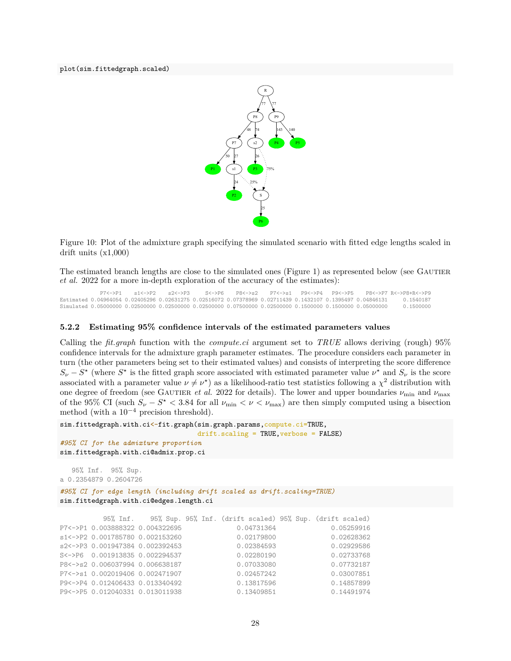plot(sim.fittedgraph.scaled)



Figure 10: Plot of the admixture graph specifying the simulated scenario with fitted edge lengths scaled in drift units (x1,000)

The estimated branch lengths are close to the simulated ones (Figure 1) as represented below (see GAUTIER *et al.* 2022 for a more in-depth exploration of the accuracy of the estimates):

P7<->P1 s1<->P2 s2<->P3 S<->P6 P8<->s2 P7<->s1 P9<->P4 P9<->P5 P8<->P7 R<->P8+R<->P9 Estimated 0.04964054 0.02405296 0.02631275 0.02516072 0.07378969 0.02711439 0.1432107 0.1395497 0.04846131 0.1540187 Simulated 0.05000000 0.02500000 0.02500000 0.02500000 0.07500000 0.02500000 0.1500000 0.1500000 0.05000000 0.1500000

### **5.2.2 Estimating 95% confidence intervals of the estimated parameters values**

Calling the *fit.graph* function with the *compute.ci* argument set to *TRUE* allows deriving (rough) 95% confidence intervals for the admixture graph parameter estimates. The procedure considers each parameter in turn (the other parameters being set to their estimated values) and consists of interpreting the score difference  $S_{\nu} - S^*$  (where  $S^*$  is the fitted graph score associated with estimated parameter value  $\nu^*$  and  $S_{\nu}$  is the score associated with a parameter value  $\nu \neq \nu^*$ ) as a likelihood-ratio test statistics following a  $\chi^2$  distribution with one degree of freedom (see GAUTIER *et al.* 2022 for details). The lower and upper boundaries  $\nu_{\text{min}}$  and  $\nu_{\text{max}}$ of the 95% CI (such  $S_{\nu} - S^* < 3.84$  for all  $\nu_{\min} < \nu < \nu_{\max}$ ) are then simply computed using a bisection method (with a  $10^{-4}$  precision threshold).

```
sim.fittedgraph.with.ci<-fit.graph(sim.graph.params,compute.ci=TRUE,
                                   drift.scaling = TRUE,verbose = FALSE)
#95% CI for the admixture proportion
sim.fittedgraph.with.ci@admix.prop.ci
```
a 0.2354879 0.2604726 *#95% CI for edge length (including drift scaled as drift.scaling=TRUE)* sim.fittedgraph.with.ci@edges.length.ci

95% Inf. 95% Sup.

```
95% Inf. 95% Sup. 95% Inf. (drift scaled) 95% Sup. (drift scaled)
P7<->P1 0.003888322 0.004322695 0.04731364 0.05259916
s1<->P2 0.001785780 0.002153260 0.02179800 0.02628362
s2<->P3 0.001947384 0.002392453 0.02384593 0.02929586
S<->P6 0.001913835 0.002294537 0.02280190 0.02733768
P8<->s2 0.006037994 0.006638187 0.07033080 0.07732187
P7<->s1 0.002019406 0.002471907 0.02457242 0.03007851
P9<->P4 0.012406433 0.013340492 0.13817596 0.14857899
P9<->P5 0.012040331 0.013011938 0.13409851 0.14491974
```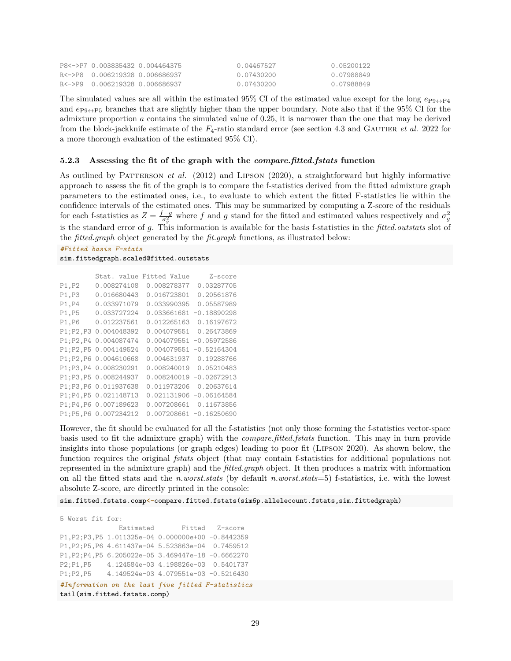| P8<->P7 0.003835432 0.004464375 | 0.04467527 | 0.05200122 |
|---------------------------------|------------|------------|
|                                 | 0.07430200 | 0.07988849 |
|                                 | 0.07430200 | 0.07988849 |

The simulated values are all within the estimated 95% CI of the estimated value except for the long  $e_{P9\leftrightarrow P4}$ and *e*P9↔P5 branches that are slightly higher than the upper boundary. Note also that if the 95% CI for the admixture proportion *a* contains the simulated value of 0.25, it is narrower than the one that may be derived from the block-jackknife estimate of the  $F_4$ -ratio standard error (see section 4.3 and GAUTIER *et al.* 2022 for a more thorough evaluation of the estimated 95% CI).

### **5.2.3 Assessing the fit of the graph with the** *compare.fitted.fstats* **function**

As outlined by PATTERSON *et al.* (2012) and LIPSON (2020), a straightforward but highly informative approach to assess the fit of the graph is to compare the f-statistics derived from the fitted admixture graph parameters to the estimated ones, i.e., to evaluate to which extent the fitted F-statistics lie within the confidence intervals of the estimated ones. This may be summarized by computing a Z-score of the residuals for each f-statistics as  $Z = \frac{f-g}{\sigma_g^2}$  where f and g stand for the fitted and estimated values respectively and  $\sigma_g^2$ is the standard error of *g*. This information is available for the basis f-statistics in the *fitted.outstats* slot of the *fitted.graph* object generated by the *fit.graph* functions, as illustrated below:

```
#Fitted basis F-stats
sim.fittedgraph.scaled@fitted.outstats
```

```
Stat. value Fitted Value Z-score
P1,P2 0.008274108 0.008278377 0.03287705
P1,P3 0.016680443 0.016723801 0.20561876
P1,P4 0.033971079 0.033990395 0.05587989
P1,P5 0.033727224 0.033661681 -0.18890298
P1,P6 0.012237561 0.012265163 0.16197672
P1;P2,P3 0.004048392 0.004079551 0.26473869
P1;P2,P4 0.004087474 0.004079551 -0.05972586
P1;P2,P5 0.004149524 0.004079551 -0.52164304
P1;P2,P6 0.004610668 0.004631937 0.19288766
P1;P3,P4 0.008230291 0.008240019 0.05210483
P1;P3,P5 0.008244937 0.008240019 -0.02672913
P1;P3,P6 0.011937638 0.011973206 0.20637614
P1;P4,P5 0.021148713 0.021131906 -0.06164584
P1;P4,P6 0.007189623 0.007208661 0.11673856
P1;P5,P6 0.007234212 0.007208661 -0.16250690
```
However, the fit should be evaluated for all the f-statistics (not only those forming the f-statistics vector-space basis used to fit the admixture graph) with the *compare.fitted.fstats* function. This may in turn provide insights into those populations (or graph edges) leading to poor fit (Lipson 2020). As shown below, the function requires the original *fstats* object (that may contain f-statistics for additional populations not represented in the admixture graph) and the *fitted.graph* object. It then produces a matrix with information on all the fitted stats and the *n.worst.stats* (by default *n.worst.stats*=5) f-statistics, i.e. with the lowest absolute Z-score, are directly printed in the console:

sim.fitted.fstats.comp<-compare.fitted.fstats(sim6p.allelecount.fstats,sim.fittedgraph)

5 Worst fit for: Estimated Fitted Z–score P1,P2;P3,P5 1.011325e-04 0.000000e+00 -0.8442359 P1,P2;P5,P6 4.611437e-04 5.523863e-04 0.7459512 P1,P2;P4,P5 6.205022e-05 3.469447e-18 -0.6662270 P2;P1,P5 4.124584e-03 4.198826e-03 0.5401737 P1;P2,P5 4.149524e-03 4.079551e-03 -0.5216430 *#Information on the last five fitted F-statistics* tail(sim.fitted.fstats.comp)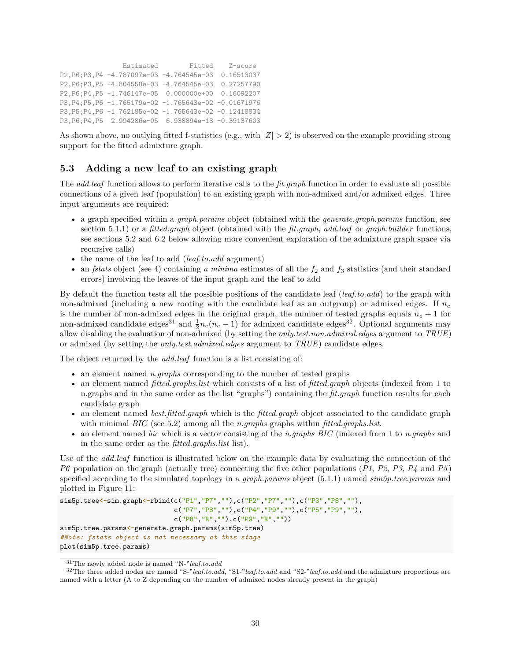```
Estimated Fitted Z–score
P2,P6;P3,P4 -4.787097e-03 -4.764545e-03 0.16513037
P2,P6;P3,P5 -4.804558e-03 -4.764545e-03 0.27257790
P2,P6;P4,P5 -1.746147e-05 0.000000e+00 0.16092207
P3,P4;P5,P6 -1.765179e-02 -1.765643e-02 -0.01671976
P3,P5;P4,P6 -1.762185e-02 -1.765643e-02 -0.12418834
P3,P6;P4,P5 2.994286e-05 6.938894e-18 -0.39137603
```
As shown above, no outlying fitted f-statistics (e.g., with |*Z*| *>* 2) is observed on the example providing strong support for the fitted admixture graph.

### **5.3 Adding a new leaf to an existing graph**

The *add.leaf* function allows to perform iterative calls to the *fit.graph* function in order to evaluate all possible connections of a given leaf (population) to an existing graph with non-admixed and/or admixed edges. Three input arguments are required:

- a graph specified within a *graph.params* object (obtained with the *generate.graph.params* function, see section 5.1.1) or a *fitted.graph* object (obtained with the *fit.graph*, *add.leaf* or *graph.builder* functions, see sections 5.2 and 6.2 below allowing more convenient exploration of the admixture graph space via recursive calls)
- the name of the leaf to add (*leaf.to.add* argument)
- an *fstats* object (see 4) containing *a minima* estimates of all the  $f_2$  and  $f_3$  statistics (and their standard errors) involving the leaves of the input graph and the leaf to add

By default the function tests all the possible positions of the candidate leaf (*leaf.to.add*) to the graph with non-admixed (including a new rooting with the candidate leaf as an outgroup) or admixed edges. If *n<sup>e</sup>* is the number of non-admixed edges in the original graph, the number of tested graphs equals  $n_e + 1$  for non-admixed candidate edges<sup>31</sup> and  $\frac{1}{2}n_e(n_e-1)$  for admixed candidate edges<sup>32</sup>. Optional arguments may allow disabling the evaluation of non-admixed (by setting the *only.test.non.admixed.edges* argument to *TRUE*) or admixed (by setting the *only.test.admixed.edges* argument to *TRUE*) candidate edges.

The object returned by the *add.leaf* function is a list consisting of:

- an element named *n.graphs* corresponding to the number of tested graphs
- an element named *fitted.graphs.list* which consists of a list of *fitted.graph* objects (indexed from 1 to n.graphs and in the same order as the list "graphs") containing the *fit.graph* function results for each candidate graph
- an element named *best.fitted.graph* which is the *fitted.graph* object associated to the candidate graph with minimal *BIC* (see 5.2) among all the *n.graphs* graphs within *fitted.graphs.list*.
- an element named *bic* which is a vector consisting of the *n.graphs BIC* (indexed from 1 to *n.graphs* and in the same order as the *fitted.graphs.list* list).

Use of the *add.leaf* function is illustrated below on the example data by evaluating the connection of the *P6* population on the graph (actually tree) connecting the five other populations (*P1*, *P2*, *P3*, *P4* and *P5* ) specified according to the simulated topology in a *graph.params* object (5.1.1) named *sim5p.tree.params* and plotted in Figure 11:

```
sim5p.tree <- sim.graph <- rbind(c("P1", "P7", ""), c("P2", "P7", ""), c("P3", "P8", ""),
                              c("P7","P8",""),c("P4","P9",""),c("P5","P9",""),
                              c("P8","R",""),c("P9","R",""))
sim5p.tree.params<-generate.graph.params(sim5p.tree)
#Note: fstats object is not necessary at this stage
plot(sim5p.tree.params)
```
<sup>31</sup>The newly added node is named "N-"*leaf.to.add*

<sup>32</sup>The three added nodes are named "S-"*leaf.to.add*, "S1-"*leaf.to.add* and "S2-"*leaf.to.add* and the admixture proportions are named with a letter (A to Z depending on the number of admixed nodes already present in the graph)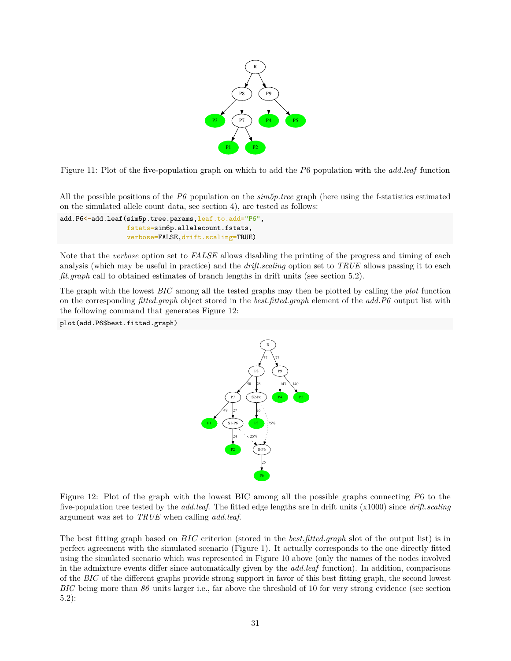

Figure 11: Plot of the five-population graph on which to add the *P*6 population with the *add.leaf* function

All the possible positions of the *P6* population on the *sim5p.tree* graph (here using the f-statistics estimated on the simulated allele count data, see section 4), are tested as follows:

```
add.P6<-add.leaf(sim5p.tree.params,leaf.to.add="P6",
                 fstats=sim6p.allelecount.fstats,
                 verbose=FALSE,drift.scaling=TRUE)
```
Note that the *verbose* option set to *FALSE* allows disabling the printing of the progress and timing of each analysis (which may be useful in practice) and the *drift.scaling* option set to *TRUE* allows passing it to each *fit.graph* call to obtained estimates of branch lengths in drift units (see section 5.2).

The graph with the lowest *BIC* among all the tested graphs may then be plotted by calling the *plot* function on the corresponding *fitted.graph* object stored in the *best.fitted.graph* element of the *add.P6* output list with the following command that generates Figure 12:

plot(add.P6\$best.fitted.graph)



Figure 12: Plot of the graph with the lowest BIC among all the possible graphs connecting *P*6 to the five-population tree tested by the *add.leaf*. The fitted edge lengths are in drift units (x1000) since *drift.scaling* argument was set to *TRUE* when calling *add.leaf*.

The best fitting graph based on *BIC* criterion (stored in the *best.fitted.graph* slot of the output list) is in perfect agreement with the simulated scenario (Figure 1). It actually corresponds to the one directly fitted using the simulated scenario which was represented in Figure 10 above (only the names of the nodes involved in the admixture events differ since automatically given by the *add.leaf* function). In addition, comparisons of the *BIC* of the different graphs provide strong support in favor of this best fitting graph, the second lowest *BIC* being more than *86* units larger i.e., far above the threshold of 10 for very strong evidence (see section 5.2):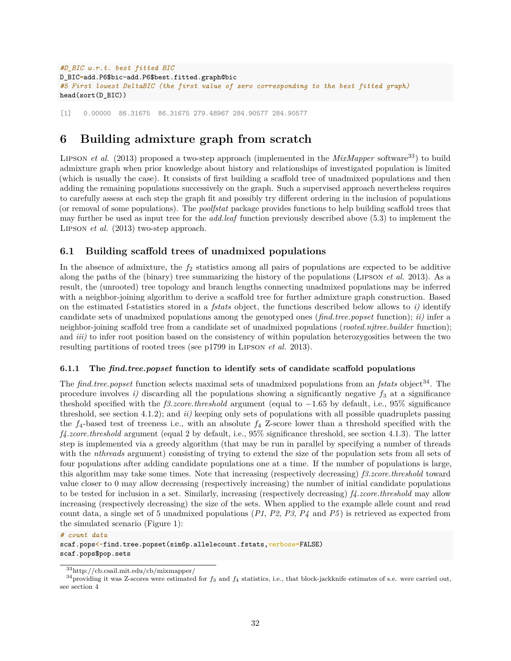```
#D_BIC w.r.t. best fitted BIC
D_BIC=add.P6$bic-add.P6$best.fitted.graph@bic
#5 First lowest DeltaBIC (the first value of zero corresponding to the best fitted graph)
head(sort(D_BIC))
```
[1] 0.00000 86.31675 86.31675 279.48967 284.90577 284.90577

## **6 Building admixture graph from scratch**

LIPSON *et al.* (2013) proposed a two-step approach (implemented in the *MixMapper* software<sup>33</sup>) to build admixture graph when prior knowledge about history and relationships of investigated population is limited (which is usually the case). It consists of first building a scaffold tree of unadmixed populations and then adding the remaining populations successively on the graph. Such a supervised approach nevertheless requires to carefully assess at each step the graph fit and possibly try different ordering in the inclusion of populations (or removal of some populations). The *poolfstat* package provides functions to help building scaffold trees that may further be used as input tree for the *add.leaf* function previously described above (5.3) to implement the Lipson *et al.* (2013) two-step approach.

### **6.1 Building scaffold trees of unadmixed populations**

In the absence of admixture, the  $f_2$  statistics among all pairs of populations are expected to be additive along the paths of the (binary) tree summarizing the history of the populations (Lipson *et al.* 2013). As a result, the (unrooted) tree topology and branch lengths connecting unadmixed populations may be inferred with a neighbor-joining algorithm to derive a scaffold tree for further admixture graph construction. Based on the estimated f-statistics stored in a *fstats* object, the functions described below allows to *i)* identify candidate sets of unadmixed populations among the genotyped ones (*find.tree.popset* function); *ii)* infer a neighbor-joining scaffold tree from a candidate set of unadmixed populations (*rooted.njtree.builder* function); and *iii)* to infer root position based on the consistency of within population heterozygosities between the two resulting partitions of rooted trees (see p1799 in Lipson *et al.* 2013).

### **6.1.1 The** *find.tree.popset* **function to identify sets of candidate scaffold populations**

The *find.tree.popset* function selects maximal sets of unadmixed populations from an *fstats* object<sup>34</sup>. The procedure involves  $i$ ) discarding all the populations showing a significantly negative  $f_3$  at a significance theshold specified with the *f3.zcore.threshold* argument (equal to −1*.*65 by default, i.e., 95% significance threshold, see section 4.1.2); and *ii)* keeping only sets of populations with all possible quadruplets passing the  $f_4$ -based test of treeness i.e., with an absolute  $f_4$  Z-score lower than a threshold specified with the *f4.zcore.threshold* argument (equal 2 by default, i.e., 95% significance threshold, see section 4.1.3). The latter step is implemented via a greedy algorithm (that may be run in parallel by specifying a number of threads with the *nthreads* argument) consisting of trying to extend the size of the population sets from all sets of four populations after adding candidate populations one at a time. If the number of populations is large, this algorithm may take some times. Note that increasing (respectively decreasing) *f3.zcore.threshold* toward value closer to 0 may allow decreasing (respectively increasing) the number of initial candidate populations to be tested for inclusion in a set. Similarly, increasing (respectively decreasing) *f4.zcore.threshold* may allow increasing (respectively decreasing) the size of the sets. When applied to the example allele count and read count data, a single set of 5 unadmixed populations (*P1*, *P2*, *P3*, *P4* and *P5* ) is retrieved as expected from the simulated scenario (Figure 1):

*# count data* scaf.pops<-find.tree.popset(sim6p.allelecount.fstats,verbose=FALSE) scaf.pops\$pop.sets

<sup>33</sup>http://cb.csail.mit.edu/cb/mixmapper/

<sup>34</sup>providing it was Z-scores were estimated for *f*<sup>3</sup> and *f*<sup>4</sup> statistics, i.e., that block-jackknife estimates of s.e. were carried out, see section 4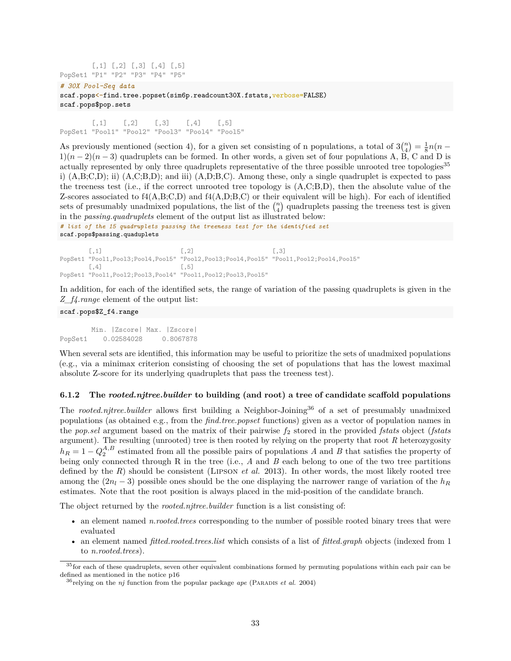$[$ ,1]  $[$ ,2]  $[$ ,3]  $[$ ,4]  $[$ ,5] PopSet1 "P1" "P2" "P3" "P4" "P5"

#### *# 30X Pool-Seq data*

scaf.pops<-find.tree.popset(sim6p.readcount30X.fstats,verbose=FALSE) scaf.pops\$pop.sets

 $[0,1]$   $[0,2]$   $[0,3]$   $[0,4]$   $[0,5]$ PopSet1 "Pool1" "Pool2" "Pool3" "Pool4" "Pool5"

As previously mentioned (section 4), for a given set consisting of n populations, a total of  $3\binom{n}{4} = \frac{1}{8}n(n-1)$  $1(n-2)(n-3)$  quadruplets can be formed. In other words, a given set of four populations A, B, C and D is actually represented by only three quadruplets representative of the three possible unrooted tree topologies<sup>35</sup> i) (A,B;C,D); ii) (A,C;B,D); and iii) (A,D;B,C). Among these, only a single quadruplet is expected to pass the treeness test (i.e., if the correct unrooted tree topology is (A,C;B,D), then the absolute value of the Z-scores associated to  $f_4(A,B;C,D)$  and  $f_4(A,D;B,C)$  or their equivalent will be high). For each of identified sets of presumably unadmixed populations, the list of the  $\binom{n}{4}$  quadruplets passing the treeness test is given in the *passing.quadruplets* element of the output list as illustrated below:

*# list of the 15 quadruplets passing the treeness test for the identified set* scaf.pops\$passing.quaduplets

 $[$ ,1]  $[$ ,2]  $[$ ,3] PopSet1 "Pool1,Pool3;Pool4,Pool5" "Pool2,Pool3;Pool4,Pool5" "Pool1,Pool2;Pool4,Pool5"  $[$ ,4]  $[$ ,5] PopSet1 "Pool1,Pool2;Pool3,Pool4" "Pool1,Pool2;Pool3,Pool5"

In addition, for each of the identified sets, the range of variation of the passing quadruplets is given in the *Z\_f4.range* element of the output list:

### scaf.pops\$Z\_f4.range

Min. |Zscore| Max. |Zscore| PopSet1 0.02584028 0.8067878

When several sets are identified, this information may be useful to prioritize the sets of unadmixed populations (e.g., via a minimax criterion consisting of choosing the set of populations that has the lowest maximal absolute Z-score for its underlying quadruplets that pass the treeness test).

#### **6.1.2 The** *rooted.njtree.builder* **to building (and root) a tree of candidate scaffold populations**

The *rooted.njtree.builder* allows first building a Neighbor-Joining<sup>36</sup> of a set of presumably unadmixed populations (as obtained e.g., from the *find.tree.popset* functions) given as a vector of population names in the *pop.sel* argument based on the matrix of their pairwise *f*<sup>2</sup> stored in the provided *fstats* object (*fstats* argument). The resulting (unrooted) tree is then rooted by relying on the property that root *R* heterozygosity  $h_R = 1 - Q_2^{A,B}$  estimated from all the possible pairs of populations *A* and *B* that satisfies the property of being only connected through R in the tree (i.e., *A* and *B* each belong to one of the two tree partitions defined by the *R*) should be consistent (Lipson *et al.* 2013). In other words, the most likely rooted tree among the  $(2n_l - 3)$  possible ones should be the one displaying the narrower range of variation of the  $h_R$ estimates. Note that the root position is always placed in the mid-position of the candidate branch.

The object returned by the *rooted.njtree.builder* function is a list consisting of:

- an element named *n.rooted.trees* corresponding to the number of possible rooted binary trees that were evaluated
- an element named *fitted.rooted.trees.list* which consists of a list of *fitted.graph* objects (indexed from 1 to *n.rooted.trees*).

<sup>&</sup>lt;sup>35</sup> for each of these quadruplets, seven other equivalent combinations formed by permuting populations within each pair can be defined as mentioned in the notice p16

<sup>36</sup>relying on the *nj* function from the popular package *ape* (Paradis *et al.* 2004)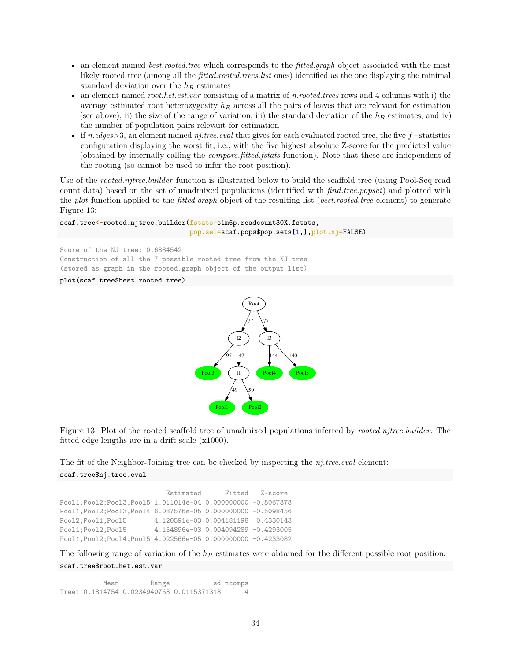- an element named *best.rooted.tree* which corresponds to the *fitted.graph* object associated with the most likely rooted tree (among all the *fitted.rooted.trees.list* ones) identified as the one displaying the minimal standard deviation over the *h<sup>R</sup>* estimates
- an element named *root.het.est.var* consisting of a matrix of *n.rooted.trees* rows and 4 columns with i) the average estimated root heterozygosity *h<sup>R</sup>* across all the pairs of leaves that are relevant for estimation (see above); ii) the size of the range of variation; iii) the standard deviation of the  $h_R$  estimates, and iv) the number of population pairs relevant for estimation
- if *n.edges*>3, an element named *nj.tree.eval* that gives for each evaluated rooted tree, the five *f*−statistics configuration displaying the worst fit, i.e., with the five highest absolute Z-score for the predicted value (obtained by internally calling the *compare.fitted.fstats* function). Note that these are independent of the rooting (so cannot be used to infer the root position).

Use of the *rooted.njtree.builder* function is illustrated below to build the scaffold tree (using Pool-Seq read count data) based on the set of unadmixed populations (identified with *find.tree.popset*) and plotted with the *plot* function applied to the *fitted.graph* object of the resulting list (*best.rooted.tree* element) to generate Figure 13:

```
scaf.tree<-rooted.njtree.builder(fstats=sim6p.readcount30X.fstats,
                                 pop.sel=scaf.pops$pop.sets[1,],plot.nj=FALSE)
```
Score of the NJ tree: 0.6884542 Construction of all the 7 possible rooted tree from the NJ tree (stored as graph in the rooted.graph object of the output list)

#### plot(scaf.tree\$best.rooted.tree)



Figure 13: Plot of the rooted scaffold tree of unadmixed populations inferred by *rooted.njtree.builder*. The fitted edge lengths are in a drift scale (x1000).

The fit of the Neighbor-Joining tree can be checked by inspecting the *nj.tree.eval* element:

#### scaf.tree\$nj.tree.eval

Estimated Fitted Z–score Pool1,Pool2;Pool3,Pool5 1.011014e-04 0.000000000 -0.8067878 Pool1,Pool2;Pool3,Pool4 6.087576e-05 0.000000000 -0.5098456 Pool2;Pool1,Pool5 4.120591e-03 0.004181198 0.4330143 Pool1;Pool2,Pool5 4.154896e-03 0.004094289 -0.4293005 Pool1,Pool2;Pool4,Pool5 4.022566e-05 0.000000000 -0.4233082

The following range of variation of the *h<sup>R</sup>* estimates were obtained for the different possible root position: scaf.tree\$root.het.est.var

Mean Range sd ncomps Tree1 0.1814754 0.0234940763 0.0115371318 4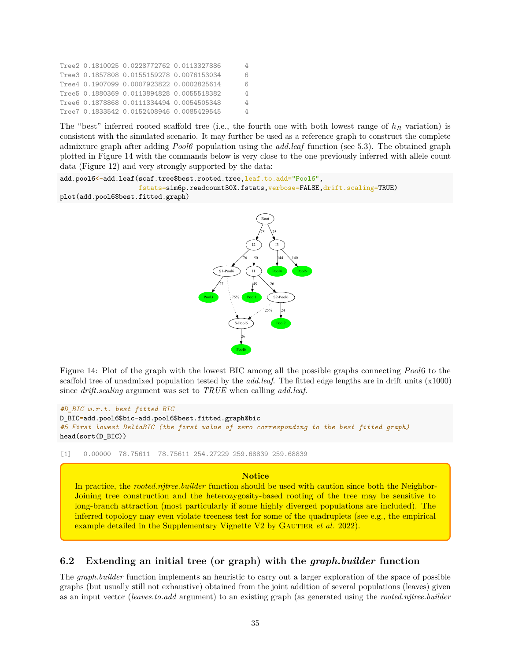|  | Tree2 0.1810025 0.0228772762 0.0113327886 |                |
|--|-------------------------------------------|----------------|
|  | Tree3 0.1857808 0.0155159278 0.0076153034 | 6              |
|  | Tree4 0.1907099 0.0007923822 0.0002825614 | 6              |
|  | Tree5 0.1880369 0.0113894828 0.0055518382 | $\overline{4}$ |
|  | Tree6 0.1878868 0.0111334494 0.0054505348 | 4              |
|  | Tree7 0.1833542 0.0152408946 0.0085429545 | 4              |

The "best" inferred rooted scaffold tree (i.e., the fourth one with both lowest range of *h<sup>R</sup>* variation) is consistent with the simulated scenario. It may further be used as a reference graph to construct the complete admixture graph after adding *Pool6* population using the *add.leaf* function (see 5.3). The obtained graph plotted in Figure 14 with the commands below is very close to the one previously inferred with allele count data (Figure 12) and very strongly supported by the data:

```
add.pool6<-add.leaf(scaf.tree$best.rooted.tree, leaf.to.add="Pool6",
                    fstats=sim6p.readcount30X.fstats,verbose=FALSE,drift.scaling=TRUE)
plot(add.pool6$best.fitted.graph)
```

```
Pool6
Pool3
                                                   Pool2
                                                Pool4 Pool5
                              Pool1
                     S-Pool6
                          26
                                  I2
          S<sub>1</sub>-Pool
                           .<br>76
                                  I1
                                   50
           .<br>27
                   75%
                                   49
                                                 S2-Pool6
                                               26
                                           25% 24
                                        Root
                                        .<br>75
                                                  I3
                                                75
                                                    144 \times 140
```
Figure 14: Plot of the graph with the lowest BIC among all the possible graphs connecting *Pool*6 to the scaffold tree of unadmixed population tested by the *add.leaf*. The fitted edge lengths are in drift units (x1000) since *drift.scaling* argument was set to *TRUE* when calling *add.leaf*.

```
#D_BIC w.r.t. best fitted BIC
D_BIC=add.pool6$bic-add.pool6$best.fitted.graph@bic
#5 First lowest DeltaBIC (the first value of zero corresponding to the best fitted graph)
head(sort(D_BIC))
```
[1] 0.00000 78.75611 78.75611 254.27229 259.68839 259.68839

### **Notice**

In practice, the *rooted.njtree.builder* function should be used with caution since both the Neighbor-Joining tree construction and the heterozygosity-based rooting of the tree may be sensitive to long-branch attraction (most particularly if some highly diverged populations are included). The inferred topology may even violate treeness test for some of the quadruplets (see e.g., the empirical example detailed in the Supplementary Vignette V2 by GAUTIER *et al.* 2022).

### **6.2 Extending an initial tree (or graph) with the** *graph.builder* **function**

The *graph.builder* function implements an heuristic to carry out a larger exploration of the space of possible graphs (but usually still not exhaustive) obtained from the joint addition of several populations (leaves) given as an input vector (*leaves.to.add* argument) to an existing graph (as generated using the *rooted.njtree.builder*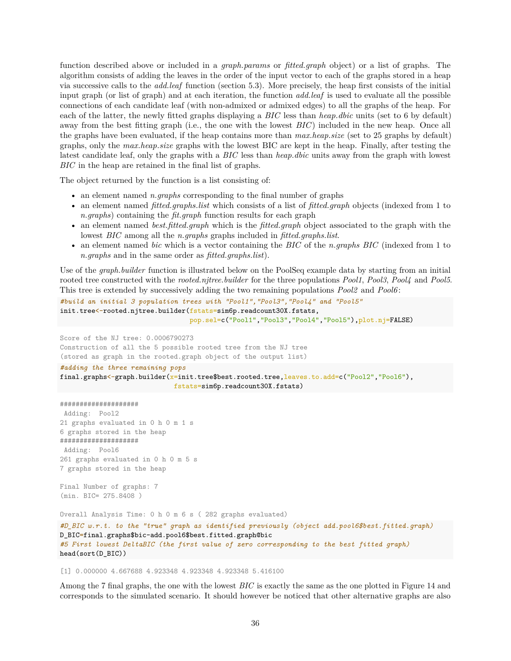function described above or included in a *graph.params* or *fitted.graph* object) or a list of graphs. The algorithm consists of adding the leaves in the order of the input vector to each of the graphs stored in a heap via successive calls to the *add.leaf* function (section 5.3). More precisely, the heap first consists of the initial input graph (or list of graph) and at each iteration, the function *add.leaf* is used to evaluate all the possible connections of each candidate leaf (with non-admixed or admixed edges) to all the graphs of the heap. For each of the latter, the newly fitted graphs displaying a *BIC* less than *heap.dbic* units (set to 6 by default) away from the best fitting graph (i.e., the one with the lowest *BIC*) included in the new heap. Once all the graphs have been evaluated, if the heap contains more than *max.heap.size* (set to 25 graphs by default) graphs, only the *max.heap.size* graphs with the lowest BIC are kept in the heap. Finally, after testing the latest candidate leaf, only the graphs with a *BIC* less than *heap.dbic* units away from the graph with lowest *BIC* in the heap are retained in the final list of graphs.

The object returned by the function is a list consisting of:

- an element named *n.graphs* corresponding to the final number of graphs
- an element named *fitted.graphs.list* which consists of a list of *fitted.graph* objects (indexed from 1 to *n.graphs*) containing the *fit.graph* function results for each graph
- an element named *best.fitted.graph* which is the *fitted.graph* object associated to the graph with the lowest *BIC* among all the *n.graphs* graphs included in *fitted.graphs.list*.
- an element named *bic* which is a vector containing the *BIC* of the *n.graphs BIC* (indexed from 1 to *n.graphs* and in the same order as *fitted.graphs.list*).

Use of the *graph.builder* function is illustrated below on the PoolSeq example data by starting from an initial rooted tree constructed with the *rooted.njtree.builder* for the three populations *Pool1*, *Pool3*, *Pool4* and *Pool5*. This tree is extended by successively adding the two remaining populations *Pool2* and *Pool6* :

```
#build an initial 3 population trees with "Pool1","Pool3","Pool4" and "Pool5"
init.tree<-rooted.njtree.builder(fstats=sim6p.readcount30X.fstats,
                                 pop.sel=c("Pool1","Pool3","Pool4","Pool5"),plot.nj=FALSE)
```
Score of the NJ tree: 0.0006790273 Construction of all the 5 possible rooted tree from the NJ tree (stored as graph in the rooted.graph object of the output list)

#### *#adding the three remaining pops*

```
final.graphs<-graph.builder(x=init.tree$best.rooted.tree,leaves.to.add=c("Pool2","Pool6"),
                             fstats=sim6p.readcount30X.fstats)
```

```
####################
Adding: Pool2
21 graphs evaluated in 0 h 0 m 1 s
6 graphs stored in the heap
####################
Adding: Pool6
261 graphs evaluated in 0 h 0 m 5 s
7 graphs stored in the heap
Final Number of graphs: 7
(min. BIC= 275.8408 )
Overall Analysis Time: 0 h 0 m 6 s ( 282 graphs evaluated)
#D_BIC w.r.t. to the "true" graph as identified previously (object add.pool6$best.fitted.graph)
D_BIC=final.graphs$bic-add.pool6$best.fitted.graph@bic
#5 First lowest DeltaBIC (the first value of zero corresponding to the best fitted graph)
head(sort(D_BIC))
```
[1] 0.000000 4.667688 4.923348 4.923348 4.923348 5.416100

Among the 7 final graphs, the one with the lowest *BIC* is exactly the same as the one plotted in Figure 14 and corresponds to the simulated scenario. It should however be noticed that other alternative graphs are also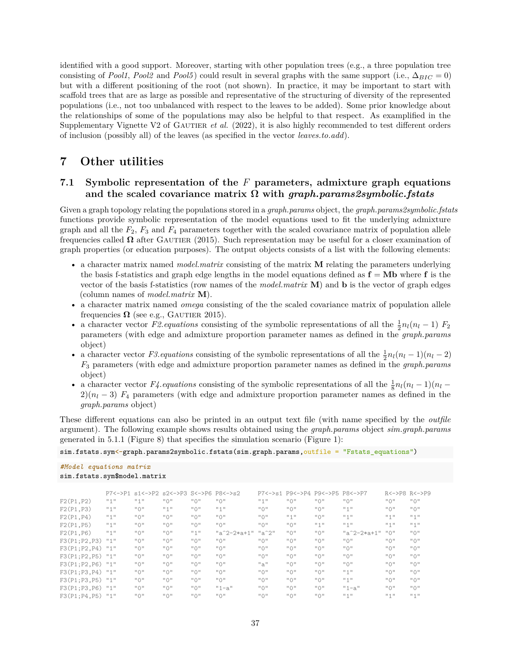identified with a good support. Moreover, starting with other population trees (e.g., a three population tree consisting of *Pool1*, *Pool2* and *Pool5*) could result in several graphs with the same support (i.e.,  $\Delta_{BIC} = 0$ ) but with a different positioning of the root (not shown). In practice, it may be important to start with scaffold trees that are as large as possible and representative of the structuring of diversity of the represented populations (i.e., not too unbalanced with respect to the leaves to be added). Some prior knowledge about the relationships of some of the populations may also be helpful to that respect. As examplified in the Supplementary Vignette V2 of GAUTIER *et al.* (2022), it is also highly recommended to test different orders of inclusion (possibly all) of the leaves (as specified in the vector *leaves.to.add*).

### **7 Other utilities**

### **7.1 Symbolic representation of the** *F* **parameters, admixture graph equations and the scaled covariance matrix Ω with** *graph.params2symbolic.fstats*

Given a graph topology relating the populations stored in a *graph.params* object, the *graph.params2symbolic.fstats* functions provide symbolic representation of the model equations used to fit the underlying admixture graph and all the *F*2, *F*<sup>3</sup> and *F*<sup>4</sup> parameters together with the scaled covariance matrix of population allele frequencies called  $\Omega$  after GAUTIER (2015). Such representation may be useful for a closer examination of graph properties (or education purposes). The output objects consists of a list with the following elements:

- a character matrix named *model.matrix* consisting of the matrix **M** relating the parameters underlying the basis f-statistics and graph edge lengths in the model equations defined as  $f = Mb$  where f is the vector of the basis f-statistics (row names of the *model.matrix* **M**) and **b** is the vector of graph edges (column names of *model.matrix* **M**).
- a character matrix named *omega* consisting of the the scaled covariance matrix of population allele frequencies  $\Omega$  (see e.g., GAUTIER 2015).
- a character vector *F2.equations* consisting of the symbolic representations of all the  $\frac{1}{2}n_l(n_l-1)$  *F*<sub>2</sub> parameters (with edge and admixture proportion parameter names as defined in the *graph.params* object)
- a character vector *F3.equations* consisting of the symbolic representations of all the  $\frac{1}{2}n_l(n_l-1)(n_l-2)$ *F*<sup>3</sup> parameters (with edge and admixture proportion parameter names as defined in the *graph.params* object)
- a character vector  $F\ell$  equations consisting of the symbolic representations of all the  $\frac{1}{8}n_l(n_l-1)(n_l-1)$  $2(n_l - 3)$   $F_4$  parameters (with edge and admixture proportion parameter names as defined in the *graph.params* object)

These different equations can also be printed in an output text file (with name specified by the *outfile* argument). The following example shows results obtained using the *graph.params* object *sim.graph.params* generated in 5.1.1 (Figure 8) that specifies the simulation scenario (Figure 1):

sim.fstats.sym<-graph.params2symbolic.fstats(sim.graph.params,outfile = "Fstats equations")

*#Model equations matrix* sim.fstats.sym\$model.matrix

|              |           | P7<->P1 s1<->P2 s2<->P3 S<->P6 P8<->s2         |                                                |                                                |                                                |                                                | P7<->s1 P9<->P4 P9<->P5 P8<->P7                |                                                |                                                | R<->P8 R<->P9                         |                                                |
|--------------|-----------|------------------------------------------------|------------------------------------------------|------------------------------------------------|------------------------------------------------|------------------------------------------------|------------------------------------------------|------------------------------------------------|------------------------------------------------|---------------------------------------|------------------------------------------------|
| F2(P1, P2)   | $11 + 11$ | $n + n$                                        | $\overline{11}$ $\overline{1}$                 | $\overline{11}$ $\overline{1}$ $\overline{11}$ | $\frac{11}{2}$ (1                              | "1"                                            | $\frac{11}{2}$ (1)                             | $\frac{11}{11}$ () $\frac{11}{11}$             | $\overline{11}$ $\overline{1}$ $\overline{11}$ | $\overline{11} \overline{0}$          | $\overline{11}$ $\overline{1}$                 |
| F2(P1, P3)   | $11 + 11$ | $\overline{11}$ $\overline{1}$ $\overline{11}$ | "1"                                            | $\overline{11}$ $\overline{1}$ $\overline{11}$ | $11 + 11$                                      | $\overline{11}$ $\overline{1}$ $\overline{11}$ | $\overline{11}$ $\overline{1}$ $\overline{11}$ | $\overline{11}$ $\overline{1}$ $\overline{11}$ | $11 + 11$                                      | $\overline{11} \overline{0}$          | $\overline{11}$ $\overline{1}$ $\overline{11}$ |
| F2(P1, P4)   | "1"       | $\overline{11}$ $\overline{1}$ $\overline{11}$ | $\overline{11}$ $\overline{1}$ $\overline{11}$ | $\overline{11}$ $\overline{1}$ $\overline{11}$ | $\overline{11}$ $\overline{1}$ $\overline{11}$ | $\overline{11}$ $\overline{1}$ $\overline{11}$ | $11 + 11$                                      | $\overline{11}$ $\overline{1}$ $\overline{11}$ | $n + n$                                        | $\mathbb{F}$ 1 $\mathbb{F}$           | #4#                                            |
| F2(P1, P5)   | "1"       | $\overline{11}$ $\overline{1}$ $\overline{11}$ | $\overline{11}$ $\overline{1}$ $\overline{11}$ | $\overline{11}$ $\overline{1}$ $\overline{11}$ | $\overline{11}$ $\overline{1}$ $\overline{11}$ | $\overline{11}$ $\overline{1}$ $\overline{11}$ | $\overline{11}$ $\overline{1}$ $\overline{11}$ | $H + H$                                        | $11 + 11$                                      | $II + II$                             | #4#                                            |
| F2(P1, P6)   | "1"       | $\overline{11}$ $\overline{1}$ $\overline{11}$ | $\overline{11}$ $\overline{1}$ $\overline{11}$ | $11 + 11$                                      | $"a^2-2*a+1"$                                  | $"a^2"$                                        | $\overline{11}$ $\overline{1}$ $\overline{11}$ | $\overline{11}$ $\overline{1}$ $\overline{11}$ | $"a^2-2*a+1"$                                  | $\overline{11} \cup \overline{11}$    | $\overline{11}$ $\overline{1}$ $\overline{11}$ |
| F3(P1;P2,P3) | $11 + 11$ | $\overline{11}$ $\overline{1}$ $\overline{11}$ | $\overline{11}$ $\overline{1}$ $\overline{11}$ | $\overline{11}$ $\overline{1}$ $\overline{11}$ | $\overline{11}$ $\overline{1}$ $\overline{11}$ | $\overline{11} \overline{0}$ $\overline{11}$   | $\overline{11}$ $\overline{1}$ $\overline{11}$ | $\overline{11}$ $\overline{1}$ $\overline{11}$ | $\overline{11}$ $\overline{1}$ $\overline{11}$ | $\overline{11} \bigcap \overline{11}$ | $\overline{11}$ $\overline{1}$ $\overline{11}$ |
| F3(P1;P2,P4) | $11 + 11$ | $\overline{11}$ $\overline{1}$ $\overline{11}$ | $\overline{11}$ $\overline{1}$ $\overline{11}$ | $\overline{11}$ $\overline{1}$ $\overline{11}$ | $\overline{11}$ $\overline{1}$ $\overline{11}$ | $\overline{11}$ $\overline{1}$ $\overline{11}$ | $\overline{11}$ $\overline{1}$ $\overline{11}$ | $\overline{11}$ $\overline{1}$ $\overline{11}$ | $\overline{11}$ $\overline{1}$ $\overline{11}$ | $\overline{11} \bigcap \overline{11}$ | $\overline{11}$ $\overline{1}$ $\overline{11}$ |
| F3(P1;P2,P5) | $11 + 11$ | $\overline{11}$ $\overline{1}$ $\overline{11}$ | $\overline{11}$ $\overline{1}$ $\overline{11}$ | $\overline{11}$ $\overline{1}$ $\overline{11}$ | $\overline{11}$ $\overline{1}$ $\overline{11}$ | $\overline{11}$ $\overline{1}$ $\overline{11}$ | $\overline{11}$ $\overline{1}$ $\overline{11}$ | $\overline{11}$ $\overline{1}$ $\overline{11}$ | $\overline{11}$ $\overline{1}$ $\overline{11}$ | $\overline{11} \bigcap \overline{11}$ | $\overline{11}$ $\overline{1}$ $\overline{11}$ |
| F3(P1;P2,P6) | $n + n$   | $\frac{11}{11}$ () $\frac{11}{11}$             | $\overline{11}$ $\overline{1}$ $\overline{11}$ | $\overline{11}$ $\overline{1}$ $\overline{11}$ | $\overline{11}$ $\overline{1}$ $\overline{11}$ | "a"                                            | $\overline{11}$ $\overline{1}$ $\overline{11}$ | $\frac{11}{11}$ () $\frac{11}{11}$             | $\overline{11}$ $\overline{1}$ $\overline{11}$ | $\overline{11} \bigcap \overline{11}$ | $\overline{11}$ $\overline{1}$                 |
| F3(P1;P3,P4) | $11 + 11$ | $\overline{11}$ $\overline{1}$ $\overline{11}$ | $\overline{11}$ $\overline{1}$ $\overline{11}$ | $\overline{11}$ $\overline{1}$ $\overline{11}$ | $\overline{11}$ $\overline{1}$ $\overline{11}$ | $\overline{11} \overline{0}$ $\overline{11}$   | $\overline{11}$ $\overline{1}$ $\overline{11}$ | $\overline{11}$ $\overline{1}$ $\overline{11}$ | $11 + 11$                                      | $\overline{11} \cap \overline{11}$    | $\overline{11}$ $\overline{1}$ $\overline{11}$ |
| F3(P1;P3,P5) | "1"       | $\overline{11}$ $\overline{1}$ $\overline{11}$ | $\overline{11}$ $\overline{1}$ $\overline{11}$ | $\overline{11}$ $\overline{1}$ $\overline{11}$ | $\overline{11}$ $\overline{1}$ $\overline{11}$ | $\overline{11}$ $\overline{1}$ $\overline{11}$ | $\overline{11}$ $\overline{1}$ $\overline{11}$ | $\overline{11}$ $\overline{1}$ $\overline{11}$ | $11 + 11$                                      | $\overline{11} \bigcap \overline{11}$ | $\overline{11}$ $\overline{1}$ $\overline{11}$ |
| F3(P1;P3,P6) | "1"       | $\frac{11}{11}$ () $\frac{11}{11}$             | $\overline{11}$ $\overline{1}$ $\overline{11}$ | $\overline{11}$ $\overline{1}$ $\overline{11}$ | $"1-a"$                                        | $\overline{11}$ $\overline{1}$ $\overline{11}$ | $\overline{11}$ $\overline{1}$ $\overline{11}$ | $\overline{11}$ $\overline{1}$ $\overline{11}$ | $"1 - a"$                                      | $\overline{11} \bigcap \overline{11}$ | $\overline{11}$ $\overline{1}$ $\overline{11}$ |
| F3(P1;P4,P5) | "1"       | $\overline{11}$ $\overline{1}$ $\overline{11}$ | $\overline{11}$ $\overline{1}$ $\overline{11}$ | $\overline{11}$ $\overline{1}$ $\overline{11}$ | $\overline{11}$ $\overline{1}$ $\overline{11}$ | $\overline{11}$ $\overline{1}$ $\overline{11}$ | $\overline{11}$ $\overline{1}$ $\overline{11}$ | $\overline{11}$ $\overline{1}$ $\overline{11}$ | $H + H$                                        | $H + H$                               | $H + H$                                        |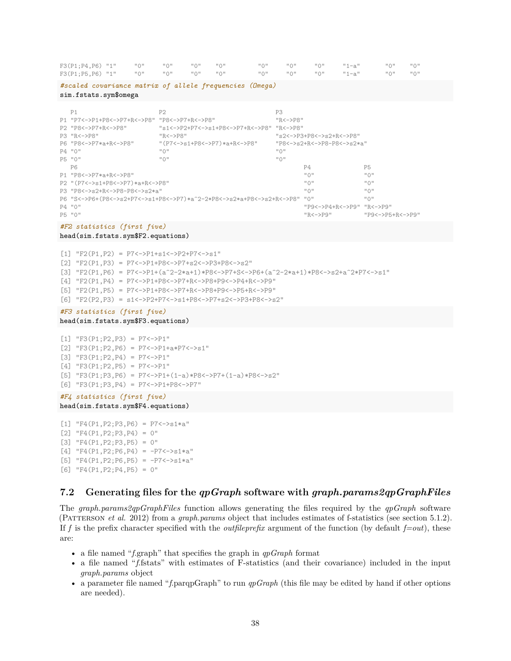#### $F3(P1;P4,P6) "1"     "0"     "0"     "0"     "0"     "0"     "0"     "0"     "0"     "1-a"     "0"     "0"     "0"$ F3(P1;P5,P6) "1" "0" "0" "0" "0" "0" "0" "0" "1-a" "0" "0"

| P <sub>1</sub>                               | P <sub>2</sub>                                                           | P3                                             |                                                |                                    |  |
|----------------------------------------------|--------------------------------------------------------------------------|------------------------------------------------|------------------------------------------------|------------------------------------|--|
| P1 "P7<->P1+P8<->P7+R<->P8" "P8<->P7+R<->P8" |                                                                          | $"R < \rightarrow P8"$                         |                                                |                                    |  |
| P2 "P8<->P7+R<->P8"                          | "s1<->P2+P7<->s1+P8<->P7+R<->P8" "R<->P8"                                |                                                |                                                |                                    |  |
| P3 "R<->P8"                                  | $"R < -> P8"$                                                            |                                                | $"s2<->P3+P8<->s2+R<->P8"$                     |                                    |  |
| P6 "P8<->P7*a+R<->P8"                        | "(P7<->s1+P8<->P7)*a+R<->P8"                                             | "P8<->s2+R<->P8-P8<->s2*a"                     |                                                |                                    |  |
| P4 "0"                                       | $\overline{11}$ $\overline{1}$ $\overline{11}$                           | $\mathsf{H} \cup \mathsf{H}$                   |                                                |                                    |  |
| P5 "0"                                       | $\overline{11}$ $\overline{1}$ $\overline{11}$                           | $\overline{11}$ $\overline{1}$ $\overline{11}$ |                                                |                                    |  |
| <b>P6</b>                                    |                                                                          |                                                | P4                                             | P <sub>5</sub>                     |  |
| P1 "P8<->P7*a+R<->P8"                        |                                                                          |                                                | $\overline{11}$ $\overline{1}$ $\overline{11}$ | $\mathsf{H} \cup \mathsf{H}$       |  |
| P2 "(P7<->s1+P8<->P7)*a+R<->P8"              |                                                                          |                                                | $\overline{11} \overline{0}$ $\overline{11}$   | $\mathsf{H} \cup \mathsf{H}$       |  |
| P3 "P8<->s2+R<->P8-P8<->s2*a"                |                                                                          |                                                | $\overline{11} \bigcap \overline{11}$          | $\overline{11} \cap \overline{11}$ |  |
|                                              | P6 "S<->P6+(P8<->s2+P7<->s1+P8<->P7)*a^2-2*P8<->s2*a+P8<->s2+R<->P8" "0" |                                                |                                                | $\overline{11} \cup \overline{11}$ |  |
| $P4$ "0"                                     |                                                                          |                                                | "P9<->P4+R<->P9" "R<->P9"                      |                                    |  |
| P5 "0"                                       |                                                                          |                                                | "R<->P9"                                       | "P9<->P5+R<->P9'                   |  |

#### *#F2 statistics (first five)*

sim.fstats.sym\$omega

#### head(sim.fstats.sym\$F2.equations)

 $[1]$  "F2(P1,P2) = P7<->P1+s1<->P2+P7<->s1" [2] "F2(P1,P3) = P7<->P1+P8<->P7+s2<->P3+P8<->s2" [3] "F2(P1,P6) = P7<->P1+(a^2-2\*a+1)\*P8<->P7+S<->P6+(a^2-2\*a+1)\*P8<->s2+a^2\*P7<->s1" [4] "F2(P1,P4) = P7<->P1+P8<->P7+R<->P8+P9<->P4+R<->P9" [5] "F2(P1,P5) = P7<->P1+P8<->P7+R<->P8+P9<->P5+R<->P9" [6] "F2(P2,P3) = s1<->P2+P7<->s1+P8<->P7+s2<->P3+P8<->s2"

*#scaled covariance matrix of allele frequencies (Omega)*

### *#F3 statistics (first five)*

#### head(sim.fstats.sym\$F3.equations)

```
[1] "F3(P1;P2,P3) = P7<->P1"
[2] "F3(P1;P2,P6) = P7<->P1+a*P7<->s1"
[3] "F3(P1;P2,P4) = P7<->P1"
[4] "F3(P1;P2,P5) = P7<->P1"
[5] "F3(P1;P3,P6) = P7<->P1+(1-a)*P8<->P7+(1-a)*P8<->s2"
[6] "F3(P1;P3,P4) = P7<->P1+P8<->P7"
```
### *#F4 statistics (first five)* head(sim.fstats.sym\$F4.equations)

```
[1] "F4(P1, P2; P3, P6) = P7 < - > > s1 * a"
[2] "F4(P1, P2; P3, P4) = 0"
[3] "F4(P1, P2; P3, P5) = 0"
[4] "F4(P1, P2; P6, P4) = -P7<->s1*a"
[5] "F4(P1, P2; P6, P5) = -P7<->s1*a"
[6] "F4(P1, P2; P4, P5) = 0"
```
### **7.2 Generating files for the** *qpGraph* **software with** *graph.params2qpGraphFiles*

The *graph.params2qpGraphFiles* function allows generating the files required by the *qpGraph* software (Patterson *et al.* 2012) from a *graph.params* object that includes estimates of f-statistics (see section 5.1.2). If *f* is the prefix character specified with the *outfileprefix* argument of the function (by default *f=out*), these are:

- a file named "*f*.graph" that specifies the graph in *qpGraph* format
- a file named "*f*.fstats" with estimates of F-statistics (and their covariance) included in the input *graph.params* object
- a parameter file named "*f*.parqpGraph" to run *qpGraph* (this file may be edited by hand if other options are needed).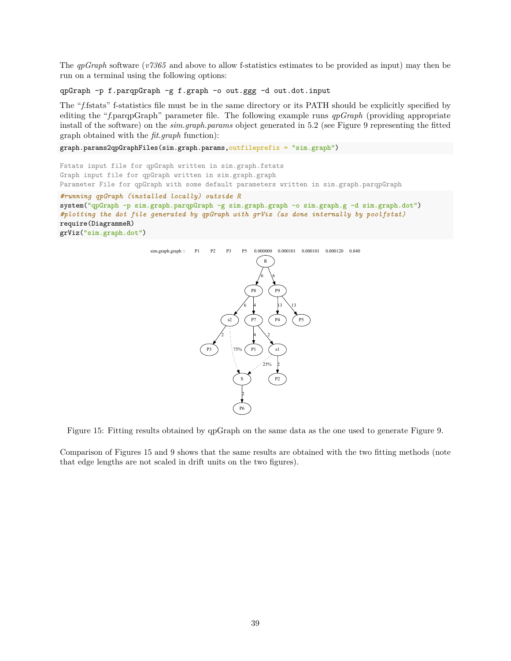The *qpGraph* software (*v7365* and above to allow f-statistics estimates to be provided as input) may then be run on a terminal using the following options:

qpGraph -p f.parqpGraph -g f.graph -o out.ggg -d out.dot.input

The "*f*.fstats" f-statistics file must be in the same directory or its PATH should be explicitly specified by editing the "*f*.parqpGraph" parameter file. The following example runs *qpGraph* (providing appropriate install of the software) on the *sim.graph.params* object generated in 5.2 (see Figure 9 representing the fitted graph obtained with the *fit.graph* function):

graph.params2qpGraphFiles(sim.graph.params,outfileprefix = "sim.graph")

```
Fstats input file for qpGraph written in sim.graph.fstats
Graph input file for qpGraph written in sim.graph.graph
Parameter File for qpGraph with some default parameters written in sim.graph.parqpGraph
#running qpGraph (installed locally) outside R
system("qpGraph -p sim.graph.parqpGraph -g sim.graph.graph -o sim.graph.g -d sim.graph.dot")
#plotting the dot file generated by qpGraph with grViz (as done internally by poolfstat)
require(DiagrammeR)
grViz("sim.graph.dot")
```


Figure 15: Fitting results obtained by qpGraph on the same data as the one used to generate Figure 9.

Comparison of Figures 15 and 9 shows that the same results are obtained with the two fitting methods (note that edge lengths are not scaled in drift units on the two figures).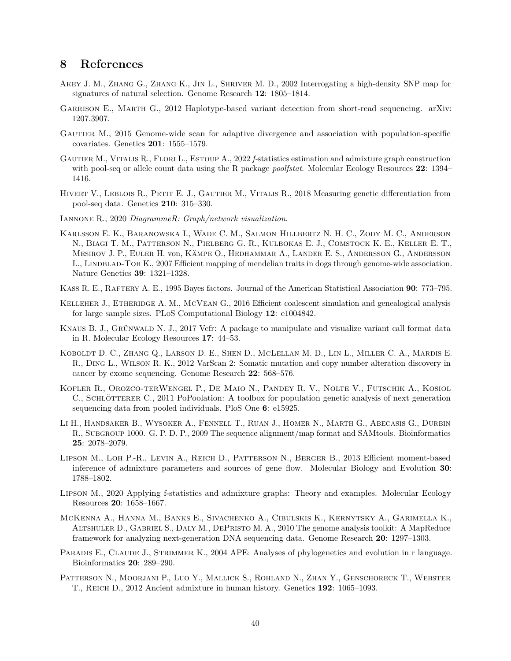### **8 References**

- Akey J. M., Zhang G., Zhang K., Jin L., Shriver M. D., 2002 Interrogating a high-density SNP map for signatures of natural selection. Genome Research **12**: 1805–1814.
- GARRISON E., MARTH G., 2012 Haplotype-based variant detection from short-read sequencing. arXiv: 1207.3907.
- Gautier M., 2015 Genome-wide scan for adaptive divergence and association with population-specific covariates. Genetics **201**: 1555–1579.
- Gautier M., Vitalis R., Flori L., Estoup A., 2022 *f-*statistics estimation and admixture graph construction with pool-seq or allele count data using the R package *poolfstat*. Molecular Ecology Resources **22**: 1394– 1416.
- HIVERT V., LEBLOIS R., PETIT E. J., GAUTIER M., VITALIS R., 2018 Measuring genetic differentiation from pool-seq data. Genetics **210**: 315–330.
- Iannone R., 2020 *DiagrammeR: Graph/network visualization*.
- Karlsson E. K., Baranowska I., Wade C. M., Salmon Hillbertz N. H. C., Zody M. C., Anderson N., Biagi T. M., Patterson N., Pielberg G. R., Kulbokas E. J., Comstock K. E., Keller E. T., Mesirov J. P., Euler H. von, Kämpe O., Hedhammar A., Lander E. S., Andersson G., Andersson L., LINDBLAD-TOH K., 2007 Efficient mapping of mendelian traits in dogs through genome-wide association. Nature Genetics **39**: 1321–1328.
- Kass R. E., Raftery A. E., 1995 Bayes factors. Journal of the American Statistical Association **90**: 773–795.
- KELLEHER J., ETHERIDGE A. M., MCVEAN G., 2016 Efficient coalescent simulation and genealogical analysis for large sample sizes. PLoS Computational Biology **12**: e1004842.
- Knaus B. J., Grünwald N. J., 2017 Vcfr: A package to manipulate and visualize variant call format data in R. Molecular Ecology Resources **17**: 44–53.
- Koboldt D. C., Zhang Q., Larson D. E., Shen D., McLellan M. D., Lin L., Miller C. A., Mardis E. R., Ding L., Wilson R. K., 2012 VarScan 2: Somatic mutation and copy number alteration discovery in cancer by exome sequencing. Genome Research **22**: 568–576.
- Kofler R., Orozco-terWengel P., De Maio N., Pandey R. V., Nolte V., Futschik A., Kosiol C., SCHLÖTTERER C., 2011 PoPoolation: A toolbox for population genetic analysis of next generation sequencing data from pooled individuals. PloS One **6**: e15925.
- Li H., Handsaker B., Wysoker A., Fennell T., Ruan J., Homer N., Marth G., Abecasis G., Durbin R., SUBGROUP 1000. G. P. D. P., 2009 The sequence alignment/map format and SAMtools. Bioinformatics **25**: 2078–2079.
- Lipson M., Loh P.-R., Levin A., Reich D., Patterson N., Berger B., 2013 Efficient moment-based inference of admixture parameters and sources of gene flow. Molecular Biology and Evolution **30**: 1788–1802.
- Lipson M., 2020 Applying f-statistics and admixture graphs: Theory and examples. Molecular Ecology Resources **20**: 1658–1667.
- McKenna A., Hanna M., Banks E., Sivachenko A., Cibulskis K., Kernytsky A., Garimella K., Altshuler D., Gabriel S., Daly M., DePristo M. A., 2010 The genome analysis toolkit: A MapReduce framework for analyzing next-generation DNA sequencing data. Genome Research **20**: 1297–1303.
- PARADIS E., CLAUDE J., STRIMMER K., 2004 APE: Analyses of phylogenetics and evolution in r language. Bioinformatics **20**: 289–290.
- PATTERSON N., MOORJANI P., LUO Y., MALLICK S., ROHLAND N., ZHAN Y., GENSCHORECK T., WEBSTER T., Reich D., 2012 Ancient admixture in human history. Genetics **192**: 1065–1093.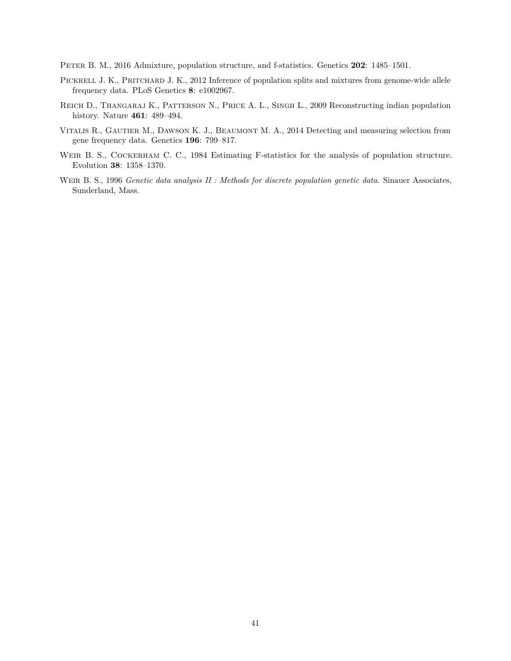Peter B. M., 2016 Admixture, population structure, and f-statistics. Genetics **202**: 1485–1501.

- PICKRELL J. K., PRITCHARD J. K., 2012 Inference of population splits and mixtures from genome-wide allele frequency data. PLoS Genetics **8**: e1002967.
- Reich D., Thangaraj K., Patterson N., Price A. L., Singh L., 2009 Reconstructing indian population history. Nature **461**: 489–494.
- Vitalis R., Gautier M., Dawson K. J., Beaumont M. A., 2014 Detecting and measuring selection from gene frequency data. Genetics **196**: 799–817.
- WEIR B. S., COCKERHAM C. C., 1984 Estimating F-statistics for the analysis of population structure. Evolution **38**: 1358–1370.
- Weir B. S., 1996 *Genetic data analysis II : Methods for discrete population genetic data*. Sinauer Associates, Sunderland, Mass.